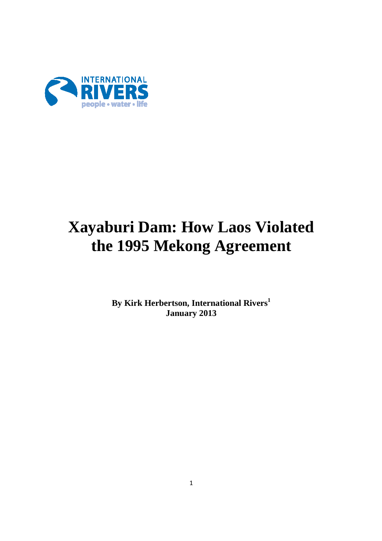

# **Xayaburi Dam: How Laos Violated the 1995 Mekong Agreement**

**By Kirk Herbertson, International Rivers<sup>1</sup> January 2013**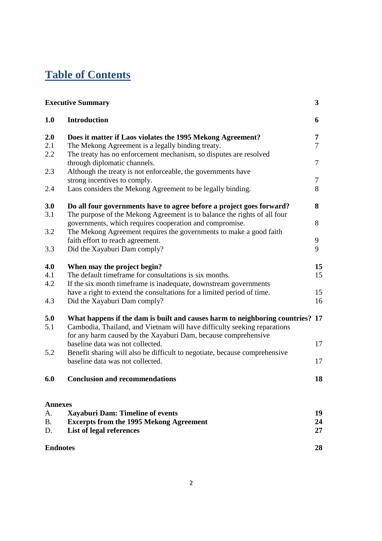### **Table of Contents**

|                 | 3<br><b>Executive Summary</b>                                                 |        |
|-----------------|-------------------------------------------------------------------------------|--------|
| <b>1.0</b>      | <b>Introduction</b>                                                           | 6      |
| <b>2.0</b>      | Does it matter if Laos violates the 1995 Mekong Agreement?                    | 7      |
| 2.1             | The Mekong Agreement is a legally binding treaty.                             | 7      |
| 2.2             | The treaty has no enforcement mechanism, so disputes are resolved             |        |
|                 | through diplomatic channels.                                                  | 7      |
| 2.3             | Although the treaty is not enforceable, the governments have                  |        |
|                 | strong incentives to comply.                                                  | 7<br>8 |
| 2.4             | Laos considers the Mekong Agreement to be legally binding.                    |        |
| 3.0             | Do all four governments have to agree before a project goes forward?          | 8      |
| 3.1             | The purpose of the Mekong Agreement is to balance the rights of all four      |        |
|                 | governments, which requires cooperation and compromise.                       | 8      |
| 3.2             | The Mekong Agreement requires the governments to make a good faith            |        |
|                 | faith effort to reach agreement.                                              | 9      |
| 3.3             | Did the Xayaburi Dam comply?                                                  | 9      |
| 4.0             | When may the project begin?                                                   | 15     |
| 4.1             | The default timeframe for consultations is six months.                        | 15     |
| 4.2             | If the six month timeframe is inadequate, downstream governments              |        |
|                 | have a right to extend the consultations for a limited period of time.        | 15     |
| 4.3             | Did the Xayaburi Dam comply?                                                  | 16     |
| 5.0             | What happens if the dam is built and causes harm to neighboring countries? 17 |        |
| 5.1             | Cambodia, Thailand, and Vietnam will have difficulty seeking reparations      |        |
|                 | for any harm caused by the Xayaburi Dam, because comprehensive                |        |
|                 | baseline data was not collected.                                              | 17     |
| 5.2             | Benefit sharing will also be difficult to negotiate, because comprehensive    |        |
|                 | baseline data was not collected.                                              | 17     |
| 6.0             | <b>Conclusion and recommendations</b>                                         | 18     |
| <b>Annexes</b>  |                                                                               |        |
| A.              | <b>Xayaburi Dam: Timeline of events</b>                                       | 19     |
| <b>B.</b>       | <b>Excerpts from the 1995 Mekong Agreement</b>                                | 24     |
| D.              | List of legal references                                                      | 27     |
| <b>Endnotes</b> |                                                                               | 28     |
|                 |                                                                               |        |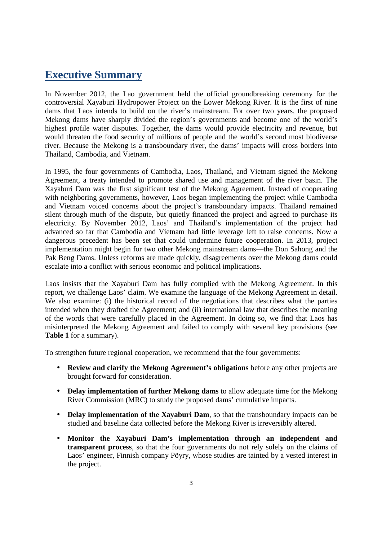### **Executive Summary**

In November 2012, the Lao government held the official groundbreaking ceremony for the controversial Xayaburi Hydropower Project on the Lower Mekong River. It is the first of nine dams that Laos intends to build on the river's mainstream. For over two years, the proposed Mekong dams have sharply divided the region's governments and become one of the world's highest profile water disputes. Together, the dams would provide electricity and revenue, but would threaten the food security of millions of people and the world's second most biodiverse river. Because the Mekong is a transboundary river, the dams' impacts will cross borders into Thailand, Cambodia, and Vietnam.

In 1995, the four governments of Cambodia, Laos, Thailand, and Vietnam signed the Mekong Agreement, a treaty intended to promote shared use and management of the river basin. The Xayaburi Dam was the first significant test of the Mekong Agreement. Instead of cooperating with neighboring governments, however, Laos began implementing the project while Cambodia and Vietnam voiced concerns about the project's transboundary impacts. Thailand remained silent through much of the dispute, but quietly financed the project and agreed to purchase its electricity. By November 2012, Laos' and Thailand's implementation of the project had advanced so far that Cambodia and Vietnam had little leverage left to raise concerns. Now a dangerous precedent has been set that could undermine future cooperation. In 2013, project implementation might begin for two other Mekong mainstream dams—the Don Sahong and the Pak Beng Dams. Unless reforms are made quickly, disagreements over the Mekong dams could escalate into a conflict with serious economic and political implications.

Laos insists that the Xayaburi Dam has fully complied with the Mekong Agreement. In this report, we challenge Laos' claim. We examine the language of the Mekong Agreement in detail. We also examine: (i) the historical record of the negotiations that describes what the parties intended when they drafted the Agreement; and (ii) international law that describes the meaning of the words that were carefully placed in the Agreement. In doing so, we find that Laos has misinterpreted the Mekong Agreement and failed to comply with several key provisions (see **Table 1** for a summary).

To strengthen future regional cooperation, we recommend that the four governments:

- **Review and clarify the Mekong Agreement's obligations** before any other projects are brought forward for consideration.
- **Delay implementation of further Mekong dams** to allow adequate time for the Mekong River Commission (MRC) to study the proposed dams' cumulative impacts.
- **Delay implementation of the Xayaburi Dam**, so that the transboundary impacts can be studied and baseline data collected before the Mekong River is irreversibly altered.
- **Monitor the Xayaburi Dam's implementation through an independent and transparent process**, so that the four governments do not rely solely on the claims of Laos' engineer, Finnish company Pöyry, whose studies are tainted by a vested interest in the project.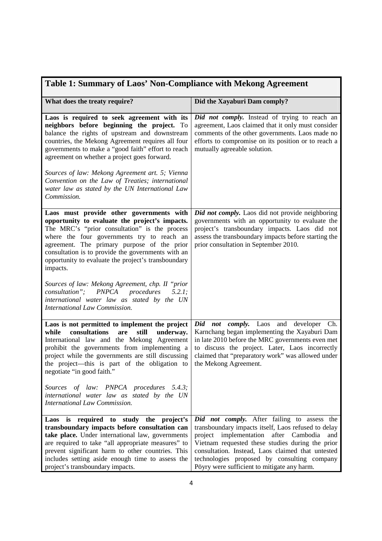| Table 1: Summary of Laos' Non-Compliance with Mekong Agreement                                                                                                                                                                                                                                                                                                    |                                                                                                                                                                                                                                                                                                                                                              |  |
|-------------------------------------------------------------------------------------------------------------------------------------------------------------------------------------------------------------------------------------------------------------------------------------------------------------------------------------------------------------------|--------------------------------------------------------------------------------------------------------------------------------------------------------------------------------------------------------------------------------------------------------------------------------------------------------------------------------------------------------------|--|
| What does the treaty require?                                                                                                                                                                                                                                                                                                                                     | Did the Xayaburi Dam comply?                                                                                                                                                                                                                                                                                                                                 |  |
| Laos is required to seek agreement with its<br>neighbors before beginning the project. To<br>balance the rights of upstream and downstream<br>countries, the Mekong Agreement requires all four<br>governments to make a "good faith" effort to reach<br>agreement on whether a project goes forward.                                                             | Did not comply. Instead of trying to reach an<br>agreement, Laos claimed that it only must consider<br>comments of the other governments. Laos made no<br>efforts to compromise on its position or to reach a<br>mutually agreeable solution.                                                                                                                |  |
| Sources of law: Mekong Agreement art. 5; Vienna<br>Convention on the Law of Treaties; international<br>water law as stated by the UN International Law<br>Commission.                                                                                                                                                                                             |                                                                                                                                                                                                                                                                                                                                                              |  |
| Laos must provide other governments with<br>opportunity to evaluate the project's impacts.<br>The MRC's "prior consultation" is the process<br>where the four governments try to reach an<br>agreement. The primary purpose of the prior<br>consultation is to provide the governments with an<br>opportunity to evaluate the project's transboundary<br>impacts. | Did not comply. Laos did not provide neighboring<br>governments with an opportunity to evaluate the<br>project's transboundary impacts. Laos did not<br>assess the transboundary impacts before starting the<br>prior consultation in September 2010.                                                                                                        |  |
| Sources of law: Mekong Agreement, chp. II "prior<br>consultation"; PNPCA procedures<br>$5.2.1$ ;<br>international water law as stated by the UN<br>International Law Commission.                                                                                                                                                                                  |                                                                                                                                                                                                                                                                                                                                                              |  |
| Laos is not permitted to implement the project<br>consultations<br>still<br>while<br>underway.<br>are<br>International law and the Mekong Agreement<br>prohibit the governments from implementing a<br>project while the governments are still discussing<br>the project—this is part of the obligation to<br>negotiate "in good faith."                          | Did not comply. Laos and developer Ch.<br>Karnchang began implementing the Xayaburi Dam<br>in late 2010 before the MRC governments even met<br>to discuss the project. Later, Laos incorrectly<br>claimed that "preparatory work" was allowed under<br>the Mekong Agreement.                                                                                 |  |
| Sources of law: PNPCA procedures 5.4.3;<br>international water law as stated by the UN<br><b>International Law Commission.</b>                                                                                                                                                                                                                                    |                                                                                                                                                                                                                                                                                                                                                              |  |
| Laos is required to study the project's<br>transboundary impacts before consultation can<br>take place. Under international law, governments<br>are required to take "all appropriate measures" to<br>prevent significant harm to other countries. This<br>includes setting aside enough time to assess the<br>project's transboundary impacts.                   | Did not comply. After failing to assess the<br>transboundary impacts itself, Laos refused to delay<br>project implementation<br>after Cambodia<br>and<br>Vietnam requested these studies during the prior<br>consultation. Instead, Laos claimed that untested<br>technologies proposed by consulting company<br>Pöyry were sufficient to mitigate any harm. |  |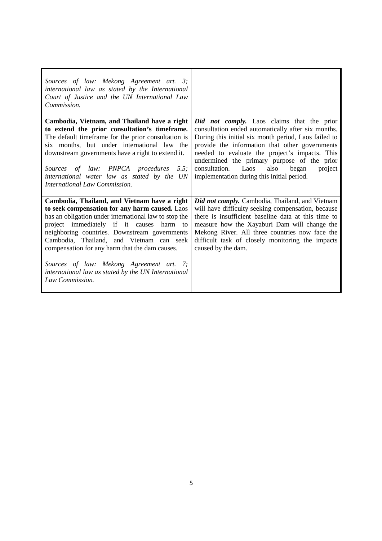| Sources of law: Mekong Agreement art. 3;<br>international law as stated by the International<br>Court of Justice and the UN International Law<br>Commission.                                                                                                                                                                                                                                                                                                             |                                                                                                                                                                                                                                                                                                                                                                  |
|--------------------------------------------------------------------------------------------------------------------------------------------------------------------------------------------------------------------------------------------------------------------------------------------------------------------------------------------------------------------------------------------------------------------------------------------------------------------------|------------------------------------------------------------------------------------------------------------------------------------------------------------------------------------------------------------------------------------------------------------------------------------------------------------------------------------------------------------------|
| Cambodia, Vietnam, and Thailand have a right                                                                                                                                                                                                                                                                                                                                                                                                                             | Did not comply. Laos claims that the prior                                                                                                                                                                                                                                                                                                                       |
| to extend the prior consultation's timeframe.<br>The default timeframe for the prior consultation is<br>six months, but under international law the<br>downstream governments have a right to extend it.<br>Sources of law: PNPCA procedures 5.5;<br>international water law as stated by the UN<br>International Law Commission.                                                                                                                                        | consultation ended automatically after six months.<br>During this initial six month period, Laos failed to<br>provide the information that other governments<br>needed to evaluate the project's impacts. This<br>undermined the primary purpose of the prior<br>Laos<br>consultation.<br>also<br>began<br>project<br>implementation during this initial period. |
| Cambodia, Thailand, and Vietnam have a right<br>to seek compensation for any harm caused. Laos<br>has an obligation under international law to stop the<br>project immediately if it causes harm to<br>neighboring countries. Downstream governments<br>Cambodia, Thailand, and Vietnam can seek<br>compensation for any harm that the dam causes.<br>Sources of law: Mekong Agreement art. 7;<br>international law as stated by the UN International<br>Law Commission. | Did not comply. Cambodia, Thailand, and Vietnam<br>will have difficulty seeking compensation, because<br>there is insufficient baseline data at this time to<br>measure how the Xayaburi Dam will change the<br>Mekong River. All three countries now face the<br>difficult task of closely monitoring the impacts<br>caused by the dam.                         |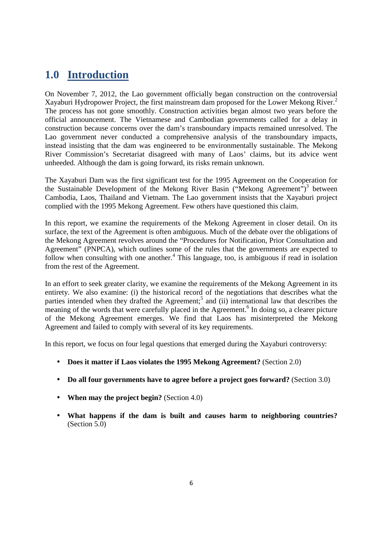### **1.0 Introduction**

On November 7, 2012, the Lao government officially began construction on the controversial Xayaburi Hydropower Project, the first mainstream dam proposed for the Lower Mekong River.<sup>2</sup> The process has not gone smoothly. Construction activities began almost two years before the official announcement. The Vietnamese and Cambodian governments called for a delay in construction because concerns over the dam's transboundary impacts remained unresolved. The Lao government never conducted a comprehensive analysis of the transboundary impacts, instead insisting that the dam was engineered to be environmentally sustainable. The Mekong River Commission's Secretariat disagreed with many of Laos' claims, but its advice went unheeded. Although the dam is going forward, its risks remain unknown.

The Xayaburi Dam was the first significant test for the 1995 Agreement on the Cooperation for the Sustainable Development of the Mekong River Basin ("Mekong Agreement")<sup>3</sup> between Cambodia, Laos, Thailand and Vietnam. The Lao government insists that the Xayaburi project complied with the 1995 Mekong Agreement. Few others have questioned this claim.

In this report, we examine the requirements of the Mekong Agreement in closer detail. On its surface, the text of the Agreement is often ambiguous. Much of the debate over the obligations of the Mekong Agreement revolves around the "Procedures for Notification, Prior Consultation and Agreement" (PNPCA), which outlines some of the rules that the governments are expected to follow when consulting with one another. $4$  This language, too, is ambiguous if read in isolation from the rest of the Agreement.

In an effort to seek greater clarity, we examine the requirements of the Mekong Agreement in its entirety. We also examine: (i) the historical record of the negotiations that describes what the parties intended when they drafted the Agreement;<sup>5</sup> and (ii) international law that describes the meaning of the words that were carefully placed in the Agreement.<sup>6</sup> In doing so, a clearer picture of the Mekong Agreement emerges. We find that Laos has misinterpreted the Mekong Agreement and failed to comply with several of its key requirements.

In this report, we focus on four legal questions that emerged during the Xayaburi controversy:

- **Does it matter if Laos violates the 1995 Mekong Agreement?** (Section 2.0)
- **Do all four governments have to agree before a project goes forward?** (Section 3.0)
- **When may the project begin?** (Section 4.0)
- **What happens if the dam is built and causes harm to neighboring countries?** (Section 5.0)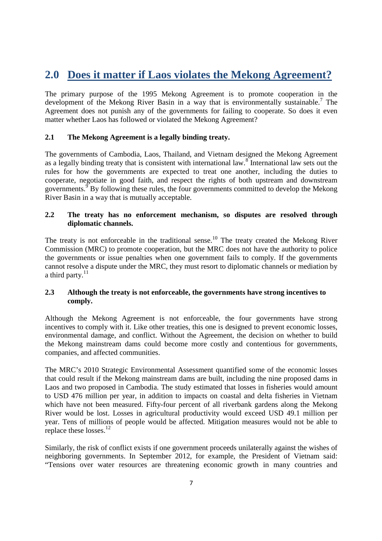### **2.0 Does it matter if Laos violates the Mekong Agreement?**

The primary purpose of the 1995 Mekong Agreement is to promote cooperation in the development of the Mekong River Basin in a way that is environmentally sustainable.<sup>7</sup> The Agreement does not punish any of the governments for failing to cooperate. So does it even matter whether Laos has followed or violated the Mekong Agreement?

#### **2.1 The Mekong Agreement is a legally binding treaty.**

The governments of Cambodia, Laos, Thailand, and Vietnam designed the Mekong Agreement as a legally binding treaty that is consistent with international law.<sup>8</sup> International law sets out the rules for how the governments are expected to treat one another, including the duties to cooperate, negotiate in good faith, and respect the rights of both upstream and downstream governments.<sup>9</sup> By following these rules, the four governments committed to develop the Mekong River Basin in a way that is mutually acceptable.

#### **2.2 The treaty has no enforcement mechanism, so disputes are resolved through diplomatic channels.**

The treaty is not enforceable in the traditional sense.<sup>10</sup> The treaty created the Mekong River Commission (MRC) to promote cooperation, but the MRC does not have the authority to police the governments or issue penalties when one government fails to comply. If the governments cannot resolve a dispute under the MRC, they must resort to diplomatic channels or mediation by a third party. $11$ 

#### **2.3 Although the treaty is not enforceable, the governments have strong incentives to comply.**

Although the Mekong Agreement is not enforceable, the four governments have strong incentives to comply with it. Like other treaties, this one is designed to prevent economic losses, environmental damage, and conflict. Without the Agreement, the decision on whether to build the Mekong mainstream dams could become more costly and contentious for governments, companies, and affected communities.

The MRC's 2010 Strategic Environmental Assessment quantified some of the economic losses that could result if the Mekong mainstream dams are built, including the nine proposed dams in Laos and two proposed in Cambodia. The study estimated that losses in fisheries would amount to USD 476 million per year, in addition to impacts on coastal and delta fisheries in Vietnam which have not been measured. Fifty-four percent of all riverbank gardens along the Mekong River would be lost. Losses in agricultural productivity would exceed USD 49.1 million per year. Tens of millions of people would be affected. Mitigation measures would not be able to replace these losses. $12$ 

Similarly, the risk of conflict exists if one government proceeds unilaterally against the wishes of neighboring governments. In September 2012, for example, the President of Vietnam said: "Tensions over water resources are threatening economic growth in many countries and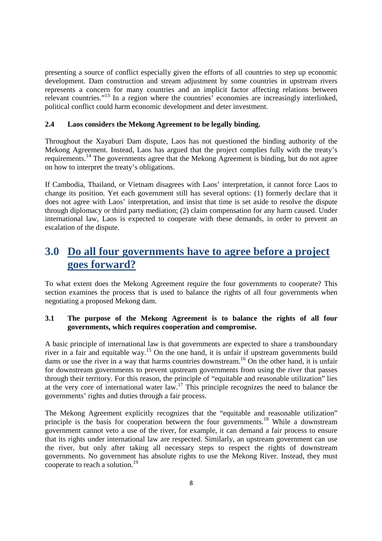presenting a source of conflict especially given the efforts of all countries to step up economic development. Dam construction and stream adjustment by some countries in upstream rivers represents a concern for many countries and an implicit factor affecting relations between relevant countries."<sup>13</sup> In a region where the countries' economies are increasingly interlinked, political conflict could harm economic development and deter investment.

#### **2.4 Laos considers the Mekong Agreement to be legally binding.**

Throughout the Xayaburi Dam dispute, Laos has not questioned the binding authority of the Mekong Agreement. Instead, Laos has argued that the project complies fully with the treaty's requirements.<sup>14</sup> The governments agree that the Mekong Agreement is binding, but do not agree on how to interpret the treaty's obligations.

If Cambodia, Thailand, or Vietnam disagrees with Laos' interpretation, it cannot force Laos to change its position. Yet each government still has several options: (1) formerly declare that it does not agree with Laos' interpretation, and insist that time is set aside to resolve the dispute through diplomacy or third party mediation; (2) claim compensation for any harm caused. Under international law, Laos is expected to cooperate with these demands, in order to prevent an escalation of the dispute.

### **3.0 Do all four governments have to agree before a project goes forward?**

To what extent does the Mekong Agreement require the four governments to cooperate? This section examines the process that is used to balance the rights of all four governments when negotiating a proposed Mekong dam.

#### **3.1 The purpose of the Mekong Agreement is to balance the rights of all four governments, which requires cooperation and compromise.**

A basic principle of international law is that governments are expected to share a transboundary river in a fair and equitable way.<sup>15</sup> On the one hand, it is unfair if upstream governments build dams or use the river in a way that harms countries downstream.<sup>16</sup> On the other hand, it is unfair for downstream governments to prevent upstream governments from using the river that passes through their territory. For this reason, the principle of "equitable and reasonable utilization" lies at the very core of international water law.<sup>17</sup> This principle recognizes the need to balance the governments' rights and duties through a fair process.

The Mekong Agreement explicitly recognizes that the "equitable and reasonable utilization" principle is the basis for cooperation between the four governments.<sup>18</sup> While a downstream government cannot veto a use of the river, for example, it can demand a fair process to ensure that its rights under international law are respected. Similarly, an upstream government can use the river, but only after taking all necessary steps to respect the rights of downstream governments. No government has absolute rights to use the Mekong River. Instead, they must cooperate to reach a solution.<sup>19</sup>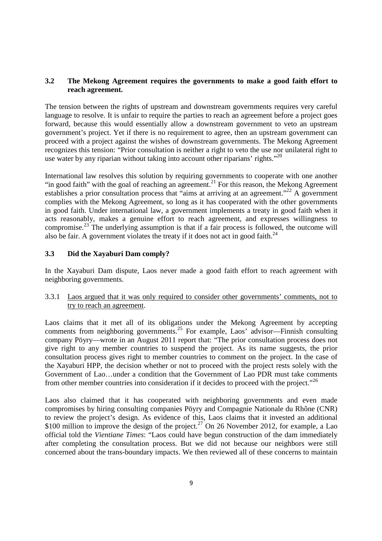#### **3.2 The Mekong Agreement requires the governments to make a good faith effort to reach agreement.**

The tension between the rights of upstream and downstream governments requires very careful language to resolve. It is unfair to require the parties to reach an agreement before a project goes forward, because this would essentially allow a downstream government to veto an upstream government's project. Yet if there is no requirement to agree, then an upstream government can proceed with a project against the wishes of downstream governments. The Mekong Agreement recognizes this tension: "Prior consultation is neither a right to veto the use nor unilateral right to use water by any riparian without taking into account other riparians' rights."<sup>20</sup>

International law resolves this solution by requiring governments to cooperate with one another "in good faith" with the goal of reaching an agreement.<sup>21</sup> For this reason, the Mekong Agreement establishes a prior consultation process that "aims at arriving at an agreement."<sup>22</sup> A government complies with the Mekong Agreement, so long as it has cooperated with the other governments in good faith. Under international law, a government implements a treaty in good faith when it acts reasonably, makes a genuine effort to reach agreement, and expresses willingness to compromise.<sup>23</sup> The underlying assumption is that if a fair process is followed, the outcome will also be fair. A government violates the treaty if it does not act in good faith.<sup>24</sup>

#### **3.3 Did the Xayaburi Dam comply?**

In the Xayaburi Dam dispute, Laos never made a good faith effort to reach agreement with neighboring governments.

#### 3.3.1 Laos argued that it was only required to consider other governments' comments, not to try to reach an agreement.

Laos claims that it met all of its obligations under the Mekong Agreement by accepting comments from neighboring governments.<sup>25</sup> For example, Laos' advisor—Finnish consulting company Pöyry—wrote in an August 2011 report that: "The prior consultation process does not give right to any member countries to suspend the project. As its name suggests, the prior consultation process gives right to member countries to comment on the project. In the case of the Xayaburi HPP, the decision whether or not to proceed with the project rests solely with the Government of Lao…under a condition that the Government of Lao PDR must take comments from other member countries into consideration if it decides to proceed with the project."<sup>26</sup>

Laos also claimed that it has cooperated with neighboring governments and even made compromises by hiring consulting companies Pöyry and Compagnie Nationale du Rhône (CNR) to review the project's design. As evidence of this, Laos claims that it invested an additional \$100 million to improve the design of the project.<sup>27</sup> On 26 November 2012, for example, a Lao official told the *Vientiane Times*: "Laos could have begun construction of the dam immediately after completing the consultation process. But we did not because our neighbors were still concerned about the trans-boundary impacts. We then reviewed all of these concerns to maintain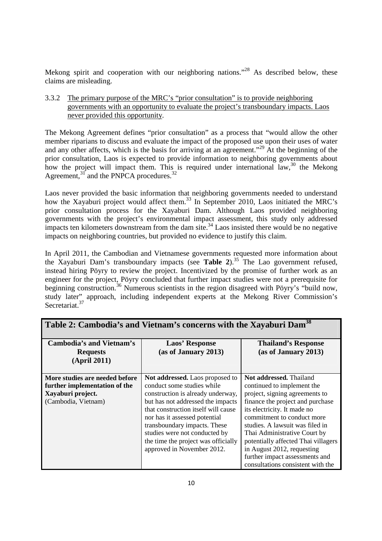Mekong spirit and cooperation with our neighboring nations."<sup>28</sup> As described below, these claims are misleading.

3.3.2 The primary purpose of the MRC's "prior consultation" is to provide neighboring governments with an opportunity to evaluate the project's transboundary impacts. Laos never provided this opportunity.

The Mekong Agreement defines "prior consultation" as a process that "would allow the other member riparians to discuss and evaluate the impact of the proposed use upon their uses of water and any other affects, which is the basis for arriving at an agreement."<sup>29</sup> At the beginning of the prior consultation, Laos is expected to provide information to neighboring governments about how the project will impact them. This is required under international law,<sup>30</sup> the Mekong Agreement, $31$  and the PNPCA procedures.<sup>32</sup>

Laos never provided the basic information that neighboring governments needed to understand how the Xayaburi project would affect them.<sup>33</sup> In September 2010, Laos initiated the MRC's prior consultation process for the Xayaburi Dam. Although Laos provided neighboring governments with the project's environmental impact assessment, this study only addressed impacts ten kilometers downstream from the dam site.<sup>34</sup> Laos insisted there would be no negative impacts on neighboring countries, but provided no evidence to justify this claim.

In April 2011, the Cambodian and Vietnamese governments requested more information about the Xayaburi Dam's transboundary impacts (see **Table 2**).<sup>35</sup> The Lao government refused, instead hiring Pöyry to review the project. Incentivized by the promise of further work as an engineer for the project, Pöyry concluded that further impact studies were not a prerequisite for beginning construction.<sup>36</sup> Numerous scientists in the region disagreed with Pöyry's "build now, study later" approach, including independent experts at the Mekong River Commission's Secretariat.<sup>37</sup>

| Table 2: Cambodia's and Vietnam's concerns with the Xayaburi Dam <sup>38</sup>                              |                                                                                                                                                                                                                                                                                                                                                       |                                                                                                                                                                                                                                                                                                                                                                                                                |
|-------------------------------------------------------------------------------------------------------------|-------------------------------------------------------------------------------------------------------------------------------------------------------------------------------------------------------------------------------------------------------------------------------------------------------------------------------------------------------|----------------------------------------------------------------------------------------------------------------------------------------------------------------------------------------------------------------------------------------------------------------------------------------------------------------------------------------------------------------------------------------------------------------|
| <b>Cambodia's and Vietnam's</b><br><b>Requests</b><br>(April 2011)                                          | Laos' Response<br>(as of January 2013)                                                                                                                                                                                                                                                                                                                | <b>Thailand's Response</b><br>(as of January 2013)                                                                                                                                                                                                                                                                                                                                                             |
| More studies are needed before<br>further implementation of the<br>Xayaburi project.<br>(Cambodia, Vietnam) | Not addressed. Laos proposed to<br>conduct some studies while<br>construction is already underway,<br>but has not addressed the impacts<br>that construction itself will cause<br>nor has it assessed potential<br>transboundary impacts. These<br>studies were not conducted by<br>the time the project was officially<br>approved in November 2012. | <b>Not addressed.</b> Thailand<br>continued to implement the<br>project, signing agreements to<br>finance the project and purchase<br>its electricity. It made no<br>commitment to conduct more<br>studies. A lawsuit was filed in<br>Thai Administrative Court by<br>potentially affected Thai villagers<br>in August 2012, requesting<br>further impact assessments and<br>consultations consistent with the |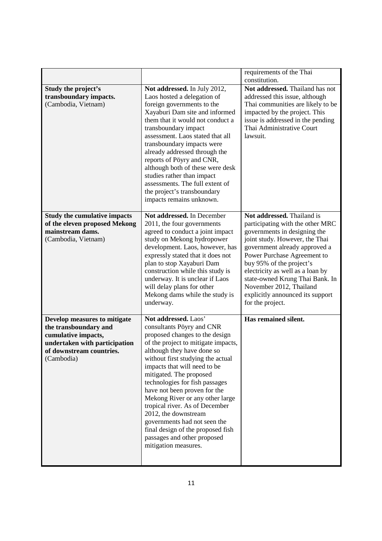|                                                                                                                                                         |                                                                                                                                                                                                                                                                                                                                                                                                                                                                                                                                                     | requirements of the Thai<br>constitution.                                                                                                                                                                                                                                                                                                                                              |
|---------------------------------------------------------------------------------------------------------------------------------------------------------|-----------------------------------------------------------------------------------------------------------------------------------------------------------------------------------------------------------------------------------------------------------------------------------------------------------------------------------------------------------------------------------------------------------------------------------------------------------------------------------------------------------------------------------------------------|----------------------------------------------------------------------------------------------------------------------------------------------------------------------------------------------------------------------------------------------------------------------------------------------------------------------------------------------------------------------------------------|
| Study the project's<br>transboundary impacts.<br>(Cambodia, Vietnam)                                                                                    | Not addressed. In July 2012,<br>Laos hosted a delegation of<br>foreign governments to the<br>Xayaburi Dam site and informed<br>them that it would not conduct a<br>transboundary impact<br>assessment. Laos stated that all<br>transboundary impacts were<br>already addressed through the<br>reports of Pöyry and CNR,<br>although both of these were desk<br>studies rather than impact<br>assessments. The full extent of<br>the project's transboundary<br>impacts remains unknown.                                                             | Not addressed. Thailand has not<br>addressed this issue, although<br>Thai communities are likely to be<br>impacted by the project. This<br>issue is addressed in the pending<br>Thai Administrative Court<br>lawsuit.                                                                                                                                                                  |
| <b>Study the cumulative impacts</b><br>of the eleven proposed Mekong<br>mainstream dams.<br>(Cambodia, Vietnam)                                         | Not addressed. In December<br>2011, the four governments<br>agreed to conduct a joint impact<br>study on Mekong hydropower<br>development. Laos, however, has<br>expressly stated that it does not<br>plan to stop Xayaburi Dam<br>construction while this study is<br>underway. It is unclear if Laos<br>will delay plans for other<br>Mekong dams while the study is<br>underway.                                                                                                                                                                 | Not addressed. Thailand is<br>participating with the other MRC<br>governments in designing the<br>joint study. However, the Thai<br>government already approved a<br>Power Purchase Agreement to<br>buy 95% of the project's<br>electricity as well as a loan by<br>state-owned Krung Thai Bank. In<br>November 2012, Thailand<br>explicitly announced its support<br>for the project. |
| Develop measures to mitigate<br>the transboundary and<br>cumulative impacts,<br>undertaken with participation<br>of downstream countries.<br>(Cambodia) | Not addressed. Laos'<br>consultants Pöyry and CNR<br>proposed changes to the design<br>of the project to mitigate impacts,<br>although they have done so<br>without first studying the actual<br>impacts that will need to be<br>mitigated. The proposed<br>technologies for fish passages<br>have not been proven for the<br>Mekong River or any other large<br>tropical river. As of December<br>2012, the downstream<br>governments had not seen the<br>final design of the proposed fish<br>passages and other proposed<br>mitigation measures. | Has remained silent.                                                                                                                                                                                                                                                                                                                                                                   |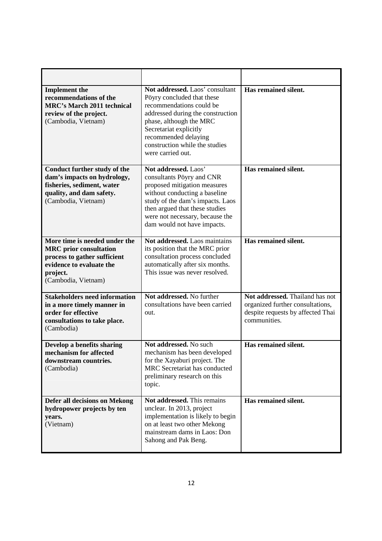| <b>Implement</b> the<br>recommendations of the<br><b>MRC's March 2011 technical</b><br>review of the project.<br>(Cambodia, Vietnam)                          | Not addressed. Laos' consultant<br>Pöyry concluded that these<br>recommendations could be<br>addressed during the construction<br>phase, although the MRC<br>Secretariat explicitly<br>recommended delaying<br>construction while the studies<br>were carried out. | Has remained silent.                                                                                                     |
|---------------------------------------------------------------------------------------------------------------------------------------------------------------|--------------------------------------------------------------------------------------------------------------------------------------------------------------------------------------------------------------------------------------------------------------------|--------------------------------------------------------------------------------------------------------------------------|
| Conduct further study of the<br>dam's impacts on hydrology,<br>fisheries, sediment, water<br>quality, and dam safety.<br>(Cambodia, Vietnam)                  | Not addressed. Laos'<br>consultants Pöyry and CNR<br>proposed mitigation measures<br>without conducting a baseline<br>study of the dam's impacts. Laos<br>then argued that these studies<br>were not necessary, because the<br>dam would not have impacts.         | Has remained silent.                                                                                                     |
| More time is needed under the<br><b>MRC</b> prior consultation<br>process to gather sufficient<br>evidence to evaluate the<br>project.<br>(Cambodia, Vietnam) | Not addressed. Laos maintains<br>its position that the MRC prior<br>consultation process concluded<br>automatically after six months.<br>This issue was never resolved.                                                                                            | Has remained silent.                                                                                                     |
| <b>Stakeholders need information</b><br>in a more timely manner in<br>order for effective<br>consultations to take place.<br>(Cambodia)                       | Not addressed. No further<br>consultations have been carried<br>out.                                                                                                                                                                                               | Not addressed. Thailand has not<br>organized further consultations,<br>despite requests by affected Thai<br>communities. |
| Develop a benefits sharing<br>mechanism for affected<br>downstream countries.<br>(Cambodia)                                                                   | Not addressed. No such<br>mechanism has been developed<br>for the Xayaburi project. The<br>MRC Secretariat has conducted<br>preliminary research on this<br>topic.                                                                                                 | Has remained silent.                                                                                                     |
| Defer all decisions on Mekong<br>hydropower projects by ten<br>years.<br>(Vietnam)                                                                            | Not addressed. This remains<br>unclear. In 2013, project<br>implementation is likely to begin<br>on at least two other Mekong<br>mainstream dams in Laos: Don<br>Sahong and Pak Beng.                                                                              | Has remained silent.                                                                                                     |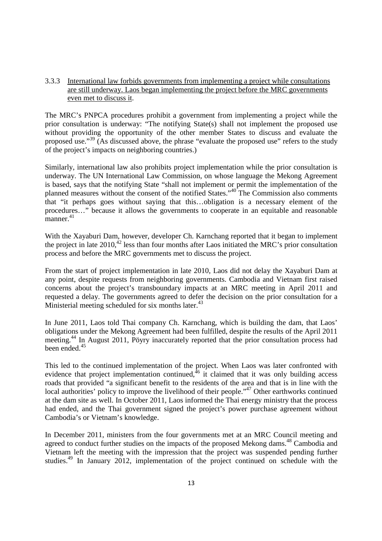#### 3.3.3 International law forbids governments from implementing a project while consultations are still underway. Laos began implementing the project before the MRC governments even met to discuss it.

The MRC's PNPCA procedures prohibit a government from implementing a project while the prior consultation is underway: "The notifying State(s) shall not implement the proposed use without providing the opportunity of the other member States to discuss and evaluate the proposed use."<sup>39</sup> (As discussed above, the phrase "evaluate the proposed use" refers to the study of the project's impacts on neighboring countries.)

Similarly, international law also prohibits project implementation while the prior consultation is underway. The UN International Law Commission, on whose language the Mekong Agreement is based, says that the notifying State "shall not implement or permit the implementation of the planned measures without the consent of the notified States."<sup>40</sup> The Commission also comments that "it perhaps goes without saying that this…obligation is a necessary element of the procedures…" because it allows the governments to cooperate in an equitable and reasonable  $m$ anner.<sup>41</sup>

With the Xayaburi Dam, however, developer Ch. Karnchang reported that it began to implement the project in late  $2010$ ,  $42$  less than four months after Laos initiated the MRC's prior consultation process and before the MRC governments met to discuss the project.

From the start of project implementation in late 2010, Laos did not delay the Xayaburi Dam at any point, despite requests from neighboring governments. Cambodia and Vietnam first raised concerns about the project's transboundary impacts at an MRC meeting in April 2011 and requested a delay. The governments agreed to defer the decision on the prior consultation for a Ministerial meeting scheduled for six months later.<sup>43</sup>

In June 2011, Laos told Thai company Ch. Karnchang, which is building the dam, that Laos' obligations under the Mekong Agreement had been fulfilled, despite the results of the April 2011 meeting.<sup>44</sup> In August 2011, Pöyry inaccurately reported that the prior consultation process had been ended.<sup>45</sup>

This led to the continued implementation of the project. When Laos was later confronted with evidence that project implementation continued, $46$  it claimed that it was only building access roads that provided "a significant benefit to the residents of the area and that is in line with the local authorities' policy to improve the livelihood of their people."<sup>47</sup> Other earthworks continued at the dam site as well. In October 2011, Laos informed the Thai energy ministry that the process had ended, and the Thai government signed the project's power purchase agreement without Cambodia's or Vietnam's knowledge.

In December 2011, ministers from the four governments met at an MRC Council meeting and agreed to conduct further studies on the impacts of the proposed Mekong dams.<sup>48</sup> Cambodia and Vietnam left the meeting with the impression that the project was suspended pending further studies.<sup>49</sup> In January 2012, implementation of the project continued on schedule with the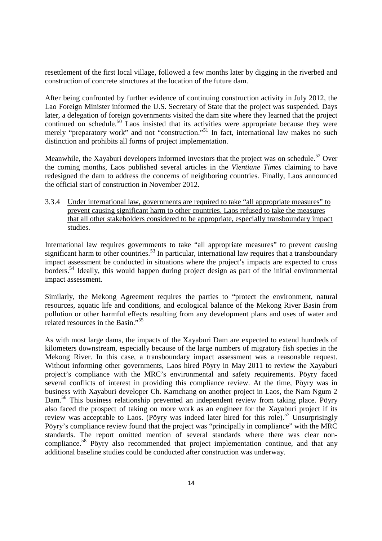resettlement of the first local village, followed a few months later by digging in the riverbed and construction of concrete structures at the location of the future dam.

After being confronted by further evidence of continuing construction activity in July 2012, the Lao Foreign Minister informed the U.S. Secretary of State that the project was suspended. Days later, a delegation of foreign governments visited the dam site where they learned that the project continued on schedule.<sup>50</sup> Laos insisted that its activities were appropriate because they were merely "preparatory work" and not "construction."<sup>51</sup> In fact, international law makes no such distinction and prohibits all forms of project implementation.

Meanwhile, the Xayaburi developers informed investors that the project was on schedule.<sup>52</sup> Over the coming months, Laos published several articles in the *Vientiane Times* claiming to have redesigned the dam to address the concerns of neighboring countries. Finally, Laos announced the official start of construction in November 2012.

3.3.4 Under international law, governments are required to take "all appropriate measures" to prevent causing significant harm to other countries. Laos refused to take the measures that all other stakeholders considered to be appropriate, especially transboundary impact studies.

International law requires governments to take "all appropriate measures" to prevent causing significant harm to other countries.<sup>53</sup> In particular, international law requires that a transboundary impact assessment be conducted in situations where the project's impacts are expected to cross borders.<sup>54</sup> Ideally, this would happen during project design as part of the initial environmental impact assessment.

Similarly, the Mekong Agreement requires the parties to "protect the environment, natural resources, aquatic life and conditions, and ecological balance of the Mekong River Basin from pollution or other harmful effects resulting from any development plans and uses of water and related resources in the Basin."<sup>55</sup>

As with most large dams, the impacts of the Xayaburi Dam are expected to extend hundreds of kilometers downstream, especially because of the large numbers of migratory fish species in the Mekong River. In this case, a transboundary impact assessment was a reasonable request. Without informing other governments, Laos hired Pöyry in May 2011 to review the Xayaburi project's compliance with the MRC's environmental and safety requirements. Pöyry faced several conflicts of interest in providing this compliance review. At the time, Pöyry was in business with Xayaburi developer Ch. Karnchang on another project in Laos, the Nam Ngum 2 Dam.<sup>56</sup> This business relationship prevented an independent review from taking place. Pöyry also faced the prospect of taking on more work as an engineer for the Xayaburi project if its review was acceptable to Laos. (Pöyry was indeed later hired for this role).<sup>57</sup> Unsurprisingly Pöyry's compliance review found that the project was "principally in compliance" with the MRC standards. The report omitted mention of several standards where there was clear noncompliance.<sup>58</sup> Pöyry also recommended that project implementation continue, and that any additional baseline studies could be conducted after construction was underway.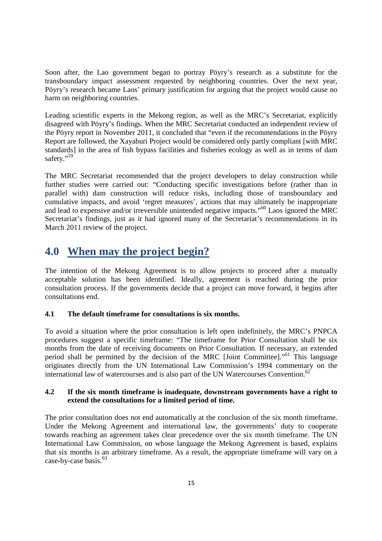Soon after, the Lao government began to portray Pöyry's research as a substitute for the transboundary impact assessment requested by neighboring countries. Over the next year, Pöyry's research became Laos' primary justification for arguing that the project would cause no harm on neighboring countries.

Leading scientific experts in the Mekong region, as well as the MRC's Secretariat, explicitly disagreed with Pöyry's findings. When the MRC Secretariat conducted an independent review of the Pöyry report in November 2011, it concluded that "even if the recommendations in the Pöyry Report are followed, the Xayaburi Project would be considered only partly compliant [with MRC standards] in the area of fish bypass facilities and fisheries ecology as well as in terms of dam safety."<sup>59</sup>

The MRC Secretariat recommended that the project developers to delay construction while further studies were carried out: "Conducting specific investigations before (rather than in parallel with) dam construction will reduce risks, including those of transboundary and cumulative impacts, and avoid 'regret measures', actions that may ultimately be inappropriate and lead to expensive and/or irreversible unintended negative impacts."<sup>60</sup> Laos ignored the MRC Secretariat's findings, just as it had ignored many of the Secretariat's recommendations in its March 2011 review of the project.

### **4.0 When may the project begin?**

The intention of the Mekong Agreement is to allow projects to proceed after a mutually acceptable solution has been identified. Ideally, agreement is reached during the prior consultation process. If the governments decide that a project can move forward, it begins after consultations end.

### **4.1 The default timeframe for consultations is six months.**

To avoid a situation where the prior consultation is left open indefinitely, the MRC's PNPCA procedures suggest a specific timeframe: "The timeframe for Prior Consultation shall be six months from the date of receiving documents on Prior Consultation. If necessary, an extended period shall be permitted by the decision of the MRC [Joint Committee]."<sup>61</sup> This language originates directly from the UN International Law Commission's 1994 commentary on the international law of watercourses and is also part of the UN Watercourses Convention.<sup>62</sup>

#### **4.2 If the six month timeframe is inadequate, downstream governments have a right to extend the consultations for a limited period of time.**

The prior consultation does not end automatically at the conclusion of the six month timeframe. Under the Mekong Agreement and international law, the governments' duty to cooperate towards reaching an agreement takes clear precedence over the six month timeframe. The UN International Law Commission, on whose language the Mekong Agreement is based, explains that six months is an arbitrary timeframe. As a result, the appropriate timeframe will vary on a case-by-case basis.<sup>63</sup>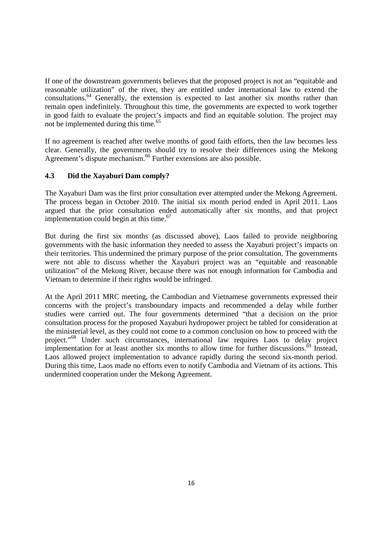If one of the downstream governments believes that the proposed project is not an "equitable and reasonable utilization" of the river, they are entitled under international law to extend the consultations.<sup>64</sup> Generally, the extension is expected to last another six months rather than remain open indefinitely. Throughout this time, the governments are expected to work together in good faith to evaluate the project's impacts and find an equitable solution. The project may not be implemented during this time.<sup>65</sup>

If no agreement is reached after twelve months of good faith efforts, then the law becomes less clear. Generally, the governments should try to resolve their differences using the Mekong Agreement's dispute mechanism.<sup>66</sup> Further extensions are also possible.

#### **4.3 Did the Xayaburi Dam comply?**

The Xayaburi Dam was the first prior consultation ever attempted under the Mekong Agreement. The process began in October 2010. The initial six month period ended in April 2011. Laos argued that the prior consultation ended automatically after six months, and that project implementation could begin at this time. $67$ 

But during the first six months (as discussed above), Laos failed to provide neighboring governments with the basic information they needed to assess the Xayaburi project's impacts on their territories. This undermined the primary purpose of the prior consultation. The governments were not able to discuss whether the Xayaburi project was an "equitable and reasonable utilization" of the Mekong River, because there was not enough information for Cambodia and Vietnam to determine if their rights would be infringed.

At the April 2011 MRC meeting, the Cambodian and Vietnamese governments expressed their concerns with the project's transboundary impacts and recommended a delay while further studies were carried out. The four governments determined "that a decision on the prior consultation process for the proposed Xayaburi hydropower project be tabled for consideration at the ministerial level, as they could not come to a common conclusion on how to proceed with the project."<sup>68</sup> Under such circumstances, international law requires Laos to delay project implementation for at least another six months to allow time for further discussions.<sup> $69$ </sup> Instead, Laos allowed project implementation to advance rapidly during the second six-month period. During this time, Laos made no efforts even to notify Cambodia and Vietnam of its actions. This undermined cooperation under the Mekong Agreement.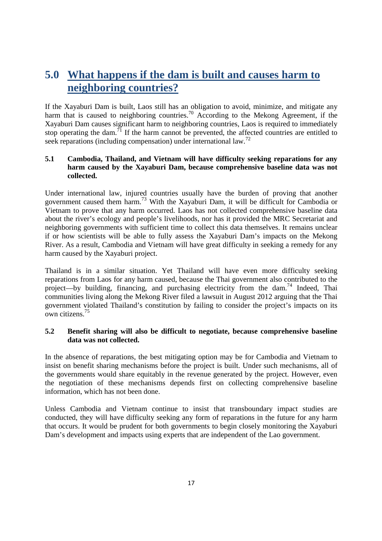### **5.0 What happens if the dam is built and causes harm to neighboring countries?**

If the Xayaburi Dam is built, Laos still has an obligation to avoid, minimize, and mitigate any harm that is caused to neighboring countries.<sup>70</sup> According to the Mekong Agreement, if the Xayaburi Dam causes significant harm to neighboring countries, Laos is required to immediately stop operating the dam. $<sup>71</sup>$  If the harm cannot be prevented, the affected countries are entitled to</sup> seek reparations (including compensation) under international law.<sup>72</sup>

#### **5.1 Cambodia, Thailand, and Vietnam will have difficulty seeking reparations for any harm caused by the Xayaburi Dam, because comprehensive baseline data was not collected.**

Under international law, injured countries usually have the burden of proving that another government caused them harm.<sup>73</sup> With the Xayaburi Dam, it will be difficult for Cambodia or Vietnam to prove that any harm occurred. Laos has not collected comprehensive baseline data about the river's ecology and people's livelihoods, nor has it provided the MRC Secretariat and neighboring governments with sufficient time to collect this data themselves. It remains unclear if or how scientists will be able to fully assess the Xayaburi Dam's impacts on the Mekong River. As a result, Cambodia and Vietnam will have great difficulty in seeking a remedy for any harm caused by the Xayaburi project.

Thailand is in a similar situation. Yet Thailand will have even more difficulty seeking reparations from Laos for any harm caused, because the Thai government also contributed to the project—by building, financing, and purchasing electricity from the dam.<sup>74</sup> Indeed, Thai communities living along the Mekong River filed a lawsuit in August 2012 arguing that the Thai government violated Thailand's constitution by failing to consider the project's impacts on its own citizens.<sup>75</sup>

#### **5.2 Benefit sharing will also be difficult to negotiate, because comprehensive baseline data was not collected.**

In the absence of reparations, the best mitigating option may be for Cambodia and Vietnam to insist on benefit sharing mechanisms before the project is built. Under such mechanisms, all of the governments would share equitably in the revenue generated by the project. However, even the negotiation of these mechanisms depends first on collecting comprehensive baseline information, which has not been done.

Unless Cambodia and Vietnam continue to insist that transboundary impact studies are conducted, they will have difficulty seeking any form of reparations in the future for any harm that occurs. It would be prudent for both governments to begin closely monitoring the Xayaburi Dam's development and impacts using experts that are independent of the Lao government.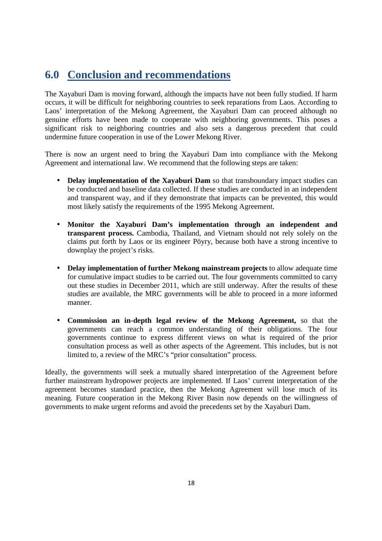### **6.0 Conclusion and recommendations**

The Xayaburi Dam is moving forward, although the impacts have not been fully studied. If harm occurs, it will be difficult for neighboring countries to seek reparations from Laos. According to Laos' interpretation of the Mekong Agreement, the Xayaburi Dam can proceed although no genuine efforts have been made to cooperate with neighboring governments. This poses a significant risk to neighboring countries and also sets a dangerous precedent that could undermine future cooperation in use of the Lower Mekong River.

There is now an urgent need to bring the Xayaburi Dam into compliance with the Mekong Agreement and international law. We recommend that the following steps are taken:

- **Delay implementation of the Xayaburi Dam** so that transboundary impact studies can be conducted and baseline data collected. If these studies are conducted in an independent and transparent way, and if they demonstrate that impacts can be prevented, this would most likely satisfy the requirements of the 1995 Mekong Agreement.
- **Monitor the Xayaburi Dam's implementation through an independent and transparent process.** Cambodia, Thailand, and Vietnam should not rely solely on the claims put forth by Laos or its engineer Pöyry, because both have a strong incentive to downplay the project's risks.
- **Delay implementation of further Mekong mainstream projects** to allow adequate time for cumulative impact studies to be carried out. The four governments committed to carry out these studies in December 2011, which are still underway. After the results of these studies are available, the MRC governments will be able to proceed in a more informed manner.
- **Commission an in-depth legal review of the Mekong Agreement,** so that the governments can reach a common understanding of their obligations. The four governments continue to express different views on what is required of the prior consultation process as well as other aspects of the Agreement. This includes, but is not limited to, a review of the MRC's "prior consultation" process.

Ideally, the governments will seek a mutually shared interpretation of the Agreement before further mainstream hydropower projects are implemented. If Laos' current interpretation of the agreement becomes standard practice, then the Mekong Agreement will lose much of its meaning. Future cooperation in the Mekong River Basin now depends on the willingness of governments to make urgent reforms and avoid the precedents set by the Xayaburi Dam.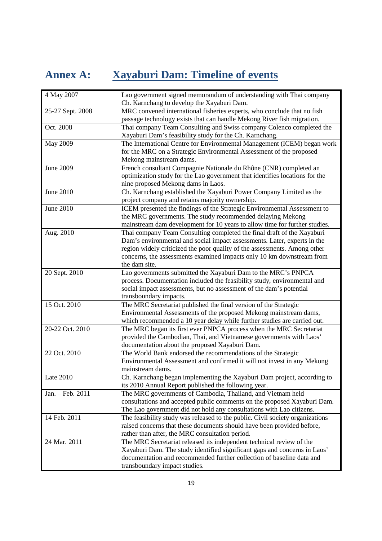## **Annex A: Xayaburi Dam: Timeline of events**

| 4 May 2007       | Lao government signed memorandum of understanding with Thai company                                                                       |
|------------------|-------------------------------------------------------------------------------------------------------------------------------------------|
|                  | Ch. Karnchang to develop the Xayaburi Dam.                                                                                                |
| 25-27 Sept. 2008 | MRC convened international fisheries experts, who conclude that no fish                                                                   |
|                  | passage technology exists that can handle Mekong River fish migration.                                                                    |
| Oct. 2008        | Thai company Team Consulting and Swiss company Colenco completed the                                                                      |
|                  | Xayaburi Dam's feasibility study for the Ch. Karnchang.                                                                                   |
| May 2009         | The International Centre for Environmental Management (ICEM) began work                                                                   |
|                  | for the MRC on a Strategic Environmental Assessment of the proposed<br>Mekong mainstream dams.                                            |
| June 2009        | French consultant Compagnie Nationale du Rhône (CNR) completed an                                                                         |
|                  | optimization study for the Lao government that identifies locations for the                                                               |
|                  | nine proposed Mekong dams in Laos.                                                                                                        |
| June 2010        | Ch. Karnchang established the Xayaburi Power Company Limited as the                                                                       |
|                  | project company and retains majority ownership.                                                                                           |
| June 2010        | ICEM presented the findings of the Strategic Environmental Assessment to                                                                  |
|                  | the MRC governments. The study recommended delaying Mekong                                                                                |
|                  | mainstream dam development for 10 years to allow time for further studies.                                                                |
| Aug. 2010        | Thai company Team Consulting completed the final draft of the Xayaburi                                                                    |
|                  | Dam's environmental and social impact assessments. Later, experts in the                                                                  |
|                  | region widely criticized the poor quality of the assessments. Among other                                                                 |
|                  | concerns, the assessments examined impacts only 10 km downstream from                                                                     |
|                  | the dam site.                                                                                                                             |
| 20 Sept. 2010    | Lao governments submitted the Xayaburi Dam to the MRC's PNPCA<br>process. Documentation included the feasibility study, environmental and |
|                  | social impact assessments, but no assessment of the dam's potential                                                                       |
|                  | transboundary impacts.                                                                                                                    |
| 15 Oct. 2010     | The MRC Secretariat published the final version of the Strategic                                                                          |
|                  | Environmental Assessments of the proposed Mekong mainstream dams,                                                                         |
|                  | which recommended a 10 year delay while further studies are carried out.                                                                  |
| 20-22 Oct. 2010  | The MRC began its first ever PNPCA process when the MRC Secretariat                                                                       |
|                  | provided the Cambodian, Thai, and Vietnamese governments with Laos'                                                                       |
|                  | documentation about the proposed Xayaburi Dam.                                                                                            |
| 22 Oct. 2010     | The World Bank endorsed the recommendations of the Strategic                                                                              |
|                  | Environmental Assessment and confirmed it will not invest in any Mekong                                                                   |
| Late $2010$      | mainstream dams.<br>Ch. Karnchang began implementing the Xayaburi Dam project, according to                                               |
|                  | its 2010 Annual Report published the following year.                                                                                      |
| Jan. - Feb. 2011 | The MRC governments of Cambodia, Thailand, and Vietnam held                                                                               |
|                  | consultations and accepted public comments on the proposed Xayaburi Dam.                                                                  |
|                  | The Lao government did not hold any consultations with Lao citizens.                                                                      |
| 14 Feb. 2011     | The feasibility study was released to the public. Civil society organizations                                                             |
|                  | raised concerns that these documents should have been provided before,                                                                    |
|                  | rather than after, the MRC consultation period.                                                                                           |
| 24 Mar. 2011     | The MRC Secretariat released its independent technical review of the                                                                      |
|                  | Xayaburi Dam. The study identified significant gaps and concerns in Laos'                                                                 |
|                  | documentation and recommended further collection of baseline data and                                                                     |
|                  | transboundary impact studies.                                                                                                             |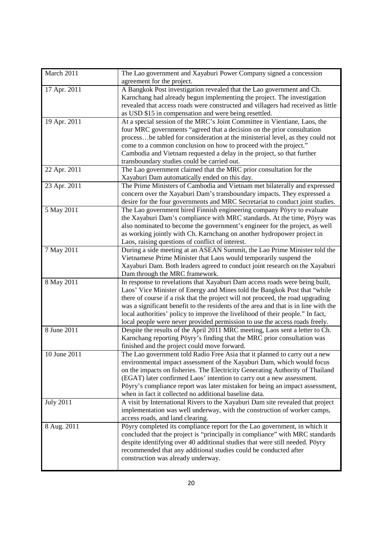| March 2011       | The Lao government and Xayaburi Power Company signed a concession<br>agreement for the project.                                                                                                                                                                                                                                                                                                                                                                                                     |
|------------------|-----------------------------------------------------------------------------------------------------------------------------------------------------------------------------------------------------------------------------------------------------------------------------------------------------------------------------------------------------------------------------------------------------------------------------------------------------------------------------------------------------|
| 17 Apr. 2011     | A Bangkok Post investigation revealed that the Lao government and Ch.<br>Karnchang had already begun implementing the project. The investigation<br>revealed that access roads were constructed and villagers had received as little<br>as USD \$15 in compensation and were being resettled.                                                                                                                                                                                                       |
| 19 Apr. 2011     | At a special session of the MRC's Joint Committee in Vientiane, Laos, the<br>four MRC governments "agreed that a decision on the prior consultation<br>processbe tabled for consideration at the ministerial level, as they could not<br>come to a common conclusion on how to proceed with the project."<br>Cambodia and Vietnam requested a delay in the project, so that further<br>transboundary studies could be carried out.                                                                  |
| 22 Apr. 2011     | The Lao government claimed that the MRC prior consultation for the<br>Xayaburi Dam automatically ended on this day.                                                                                                                                                                                                                                                                                                                                                                                 |
| 23 Apr. 2011     | The Prime Ministers of Cambodia and Vietnam met bilaterally and expressed<br>concern over the Xayaburi Dam's transboundary impacts. They expressed a<br>desire for the four governments and MRC Secretariat to conduct joint studies.                                                                                                                                                                                                                                                               |
| 5 May 2011       | The Lao government hired Finnish engineering company Pöyry to evaluate<br>the Xayaburi Dam's compliance with MRC standards. At the time, Pöyry was<br>also nominated to become the government's engineer for the project, as well<br>as working jointly with Ch. Karnchang on another hydropower project in<br>Laos, raising questions of conflict of interest.                                                                                                                                     |
| 7 May 2011       | During a side meeting at an ASEAN Summit, the Lao Prime Minister told the<br>Vietnamese Prime Minister that Laos would temporarily suspend the<br>Xayaburi Dam. Both leaders agreed to conduct joint research on the Xayaburi<br>Dam through the MRC framework.                                                                                                                                                                                                                                     |
| 8 May 2011       | In response to revelations that Xayaburi Dam access roads were being built,<br>Laos' Vice Minister of Energy and Mines told the Bangkok Post that "while<br>there of course if a risk that the project will not proceed, the road upgrading<br>was a significant benefit to the residents of the area and that is in line with the<br>local authorities' policy to improve the livelihood of their people." In fact,<br>local people were never provided permission to use the access roads freely. |
| 8 June 2011      | Despite the results of the April 2011 MRC meeting, Laos sent a letter to Ch.<br>Karnchang reporting Pöyry's finding that the MRC prior consultation was<br>finished and the project could move forward.                                                                                                                                                                                                                                                                                             |
| 10 June 2011     | The Lao government told Radio Free Asia that it planned to carry out a new<br>environmental impact assessment of the Xayaburi Dam, which would focus<br>on the impacts on fisheries. The Electricity Generating Authority of Thailand<br>(EGAT) later confirmed Laos' intention to carry out a new assessment.<br>Pöyry's compliance report was later mistaken for being an impact assessment,<br>when in fact it collected no additional baseline data.                                            |
| <b>July 2011</b> | A visit by International Rivers to the Xayaburi Dam site revealed that project<br>implementation was well underway, with the construction of worker camps,<br>access roads, and land clearing.                                                                                                                                                                                                                                                                                                      |
| 8 Aug. 2011      | Pöyry completed its compliance report for the Lao government, in which it<br>concluded that the project is "principally in compliance" with MRC standards<br>despite identifying over 40 additional studies that were still needed. Pöyry<br>recommended that any additional studies could be conducted after<br>construction was already underway.                                                                                                                                                 |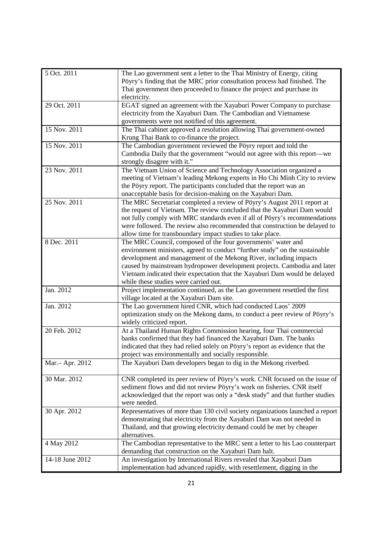| 5 Oct. 2011     | The Lao government sent a letter to the Thai Ministry of Energy, citing                                                   |
|-----------------|---------------------------------------------------------------------------------------------------------------------------|
|                 | Pöyry's finding that the MRC prior consultation process had finished. The                                                 |
|                 | Thai government then proceeded to finance the project and purchase its                                                    |
| 29 Oct. 2011    | electricity.                                                                                                              |
|                 | EGAT signed an agreement with the Xayaburi Power Company to purchase                                                      |
|                 | electricity from the Xayaburi Dam. The Cambodian and Vietnamese                                                           |
| 15 Nov. 2011    | governments were not notified of this agreement.<br>The Thai cabinet approved a resolution allowing Thai government-owned |
|                 |                                                                                                                           |
| 15 Nov. 2011    | Krung Thai Bank to co-finance the project.<br>The Cambodian government reviewed the Pöyry report and told the             |
|                 | Cambodia Daily that the government "would not agree with this report—we                                                   |
|                 | strongly disagree with it."                                                                                               |
| 23 Nov. 2011    | The Vietnam Union of Science and Technology Association organized a                                                       |
|                 | meeting of Vietnam's leading Mekong experts in Ho Chi Minh City to review                                                 |
|                 | the Pöyry report. The participants concluded that the report was an                                                       |
|                 | unacceptable basis for decision-making on the Xayaburi Dam.                                                               |
| 25 Nov. 2011    | The MRC Secretariat completed a review of Pöyry's August 2011 report at                                                   |
|                 | the request of Vietnam. The review concluded that the Xayaburi Dam would                                                  |
|                 | not fully comply with MRC standards even if all of Pöyry's recommendations                                                |
|                 | were followed. The review also recommended that construction be delayed to                                                |
|                 | allow time for transboundary impact studies to take place.                                                                |
| 8 Dec. 2011     | The MRC Council, composed of the four governments' water and                                                              |
|                 | environment ministers, agreed to conduct "further study" on the sustainable                                               |
|                 | development and management of the Mekong River, including impacts                                                         |
|                 | caused by mainstream hydropower development projects. Cambodia and later                                                  |
|                 | Vietnam indicated their expectation that the Xayaburi Dam would be delayed                                                |
|                 | while these studies were carried out.                                                                                     |
| Jan. 2012       | Project implementation continued, as the Lao government resettled the first                                               |
|                 | village located at the Xayaburi Dam site.                                                                                 |
| Jan. 2012       | The Lao government hired CNR, which had conducted Laos' 2009                                                              |
|                 | optimization study on the Mekong dams, to conduct a peer review of Pöyry's                                                |
|                 | widely criticized report.                                                                                                 |
| 20 Feb. 2012    | At a Thailand Human Rights Commission hearing, four Thai commercial                                                       |
|                 | banks confirmed that they had financed the Xayaburi Dam. The banks                                                        |
|                 | indicated that they had relied solely on Pöyry's report as evidence that the                                              |
|                 | project was environmentally and socially responsible.                                                                     |
| Mar.- Apr. 2012 | The Xayaburi Dam developers began to dig in the Mekong riverbed.                                                          |
| 30 Mar. 2012    | CNR completed its peer review of Pöyry's work. CNR focused on the issue of                                                |
|                 | sediment flows and did not review Pöyry's work on fisheries. CNR itself                                                   |
|                 | acknowledged that the report was only a "desk study" and that further studies                                             |
|                 | were needed.                                                                                                              |
| 30 Apr. 2012    | Representatives of more than 130 civil society organizations launched a report                                            |
|                 | demonstrating that electricity from the Xayaburi Dam was not needed in                                                    |
|                 | Thailand, and that growing electricity demand could be met by cheaper                                                     |
|                 | alternatives.                                                                                                             |
| 4 May 2012      | The Cambodian representative to the MRC sent a letter to his Lao counterpart                                              |
|                 | demanding that construction on the Xayaburi Dam halt.                                                                     |
| 14-18 June 2012 | An investigation by International Rivers revealed that Xayaburi Dam                                                       |
|                 | implementation had advanced rapidly, with resettlement, digging in the                                                    |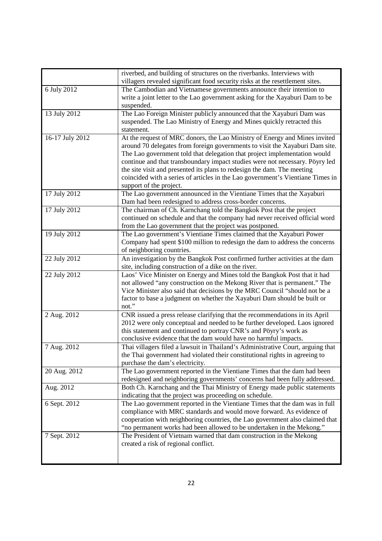|                 | riverbed, and building of structures on the riverbanks. Interviews with                                                                |
|-----------------|----------------------------------------------------------------------------------------------------------------------------------------|
|                 | villagers revealed significant food security risks at the resettlement sites.                                                          |
| 6 July 2012     | The Cambodian and Vietnamese governments announce their intention to                                                                   |
|                 | write a joint letter to the Lao government asking for the Xayaburi Dam to be                                                           |
|                 | suspended.                                                                                                                             |
| 13 July 2012    | The Lao Foreign Minister publicly announced that the Xayaburi Dam was                                                                  |
|                 | suspended. The Lao Ministry of Energy and Mines quickly retracted this                                                                 |
|                 | statement.                                                                                                                             |
| 16-17 July 2012 | At the request of MRC donors, the Lao Ministry of Energy and Mines invited                                                             |
|                 | around 70 delegates from foreign governments to visit the Xayaburi Dam site.                                                           |
|                 | The Lao government told that delegation that project implementation would                                                              |
|                 | continue and that transboundary impact studies were not necessary. Pöyry led                                                           |
|                 | the site visit and presented its plans to redesign the dam. The meeting                                                                |
|                 | coincided with a series of articles in the Lao government's Vientiane Times in                                                         |
|                 | support of the project.                                                                                                                |
| 17 July 2012    | The Lao government announced in the Vientiane Times that the Xayaburi<br>Dam had been redesigned to address cross-border concerns.     |
|                 |                                                                                                                                        |
| 17 July 2012    | The chairman of Ch. Karnchang told the Bangkok Post that the project                                                                   |
|                 | continued on schedule and that the company had never received official word<br>from the Lao government that the project was postponed. |
| 19 July 2012    | The Lao government's Vientiane Times claimed that the Xayaburi Power                                                                   |
|                 |                                                                                                                                        |
|                 | Company had spent \$100 million to redesign the dam to address the concerns<br>of neighboring countries.                               |
| 22 July 2012    | An investigation by the Bangkok Post confirmed further activities at the dam                                                           |
|                 | site, including construction of a dike on the river.                                                                                   |
| 22 July 2012    | Laos' Vice Minister on Energy and Mines told the Bangkok Post that it had                                                              |
|                 | not allowed "any construction on the Mekong River that is permanent." The                                                              |
|                 | Vice Minister also said that decisions by the MRC Council "should not be a                                                             |
|                 | factor to base a judgment on whether the Xayaburi Dam should be built or                                                               |
|                 | not."                                                                                                                                  |
| 2 Aug. 2012     | CNR issued a press release clarifying that the recommendations in its April                                                            |
|                 | 2012 were only conceptual and needed to be further developed. Laos ignored                                                             |
|                 | this statement and continued to portray CNR's and Pöyry's work as                                                                      |
|                 | conclusive evidence that the dam would have no harmful impacts.                                                                        |
| 7 Aug. 2012     | Thai villagers filed a lawsuit in Thailand's Administrative Court, arguing that                                                        |
|                 | the Thai government had violated their constitutional rights in agreeing to                                                            |
|                 | purchase the dam's electricity.                                                                                                        |
| 20 Aug. 2012    | The Lao government reported in the Vientiane Times that the dam had been                                                               |
|                 | redesigned and neighboring governments' concerns had been fully addressed.                                                             |
| Aug. 2012       | Both Ch. Karnchang and the Thai Ministry of Energy made public statements                                                              |
|                 | indicating that the project was proceeding on schedule.                                                                                |
| 6 Sept. 2012    | The Lao government reported in the Vientiane Times that the dam was in full                                                            |
|                 | compliance with MRC standards and would move forward. As evidence of                                                                   |
|                 | cooperation with neighboring countries, the Lao government also claimed that                                                           |
|                 | "no permanent works had been allowed to be undertaken in the Mekong."                                                                  |
| 7 Sept. 2012    | The President of Vietnam warned that dam construction in the Mekong                                                                    |
|                 | created a risk of regional conflict.                                                                                                   |
|                 |                                                                                                                                        |
|                 |                                                                                                                                        |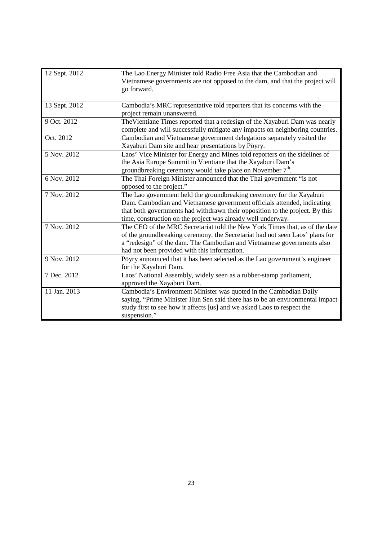| 12 Sept. 2012 | The Lao Energy Minister told Radio Free Asia that the Cambodian and<br>Vietnamese governments are not opposed to the dam, and that the project will<br>go forward.                                                                                                                              |
|---------------|-------------------------------------------------------------------------------------------------------------------------------------------------------------------------------------------------------------------------------------------------------------------------------------------------|
| 13 Sept. 2012 | Cambodia's MRC representative told reporters that its concerns with the<br>project remain unanswered.                                                                                                                                                                                           |
| 9 Oct. 2012   | The Vientiane Times reported that a redesign of the Xayaburi Dam was nearly<br>complete and will successfully mitigate any impacts on neighboring countries.                                                                                                                                    |
| Oct. 2012     | Cambodian and Vietnamese government delegations separately visited the<br>Xayaburi Dam site and hear presentations by Pöyry.                                                                                                                                                                    |
| 5 Nov. 2012   | Laos' Vice Minister for Energy and Mines told reporters on the sidelines of<br>the Asia Europe Summit in Vientiane that the Xayaburi Dam's<br>groundbreaking ceremony would take place on November 7 <sup>th</sup> .                                                                            |
| 6 Nov. 2012   | The Thai Foreign Minister announced that the Thai government "is not<br>opposed to the project."                                                                                                                                                                                                |
| 7 Nov. 2012   | The Lao government held the groundbreaking ceremony for the Xayaburi<br>Dam. Cambodian and Vietnamese government officials attended, indicating<br>that both governments had withdrawn their opposition to the project. By this<br>time, construction on the project was already well underway. |
| 7 Nov. 2012   | The CEO of the MRC Secretariat told the New York Times that, as of the date<br>of the groundbreaking ceremony, the Secretariat had not seen Laos' plans for<br>a "redesign" of the dam. The Cambodian and Vietnamese governments also<br>had not been provided with this information.           |
| 9 Nov. 2012   | Pöyry announced that it has been selected as the Lao government's engineer<br>for the Xayaburi Dam.                                                                                                                                                                                             |
| 7 Dec. 2012   | Laos' National Assembly, widely seen as a rubber-stamp parliament,<br>approved the Xayaburi Dam.                                                                                                                                                                                                |
| 11 Jan. 2013  | Cambodia's Environment Minister was quoted in the Cambodian Daily<br>saying, "Prime Minister Hun Sen said there has to be an environmental impact<br>study first to see how it affects [us] and we asked Laos to respect the<br>suspension."                                                    |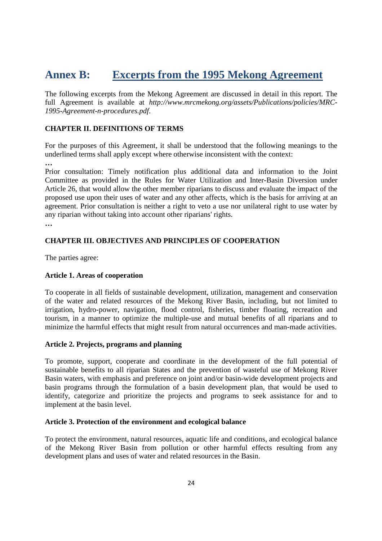### **Annex B: Excerpts from the 1995 Mekong Agreement**

The following excerpts from the Mekong Agreement are discussed in detail in this report. The full Agreement is available at *http://www.mrcmekong.org/assets/Publications/policies/MRC-1995-Agreement-n-procedures.pdf*.

#### **CHAPTER II. DEFINITIONS OF TERMS**

For the purposes of this Agreement, it shall be understood that the following meanings to the underlined terms shall apply except where otherwise inconsistent with the context:

**…** 

Prior consultation: Timely notification plus additional data and information to the Joint Committee as provided in the Rules for Water Utilization and Inter-Basin Diversion under Article 26, that would allow the other member riparians to discuss and evaluate the impact of the proposed use upon their uses of water and any other affects, which is the basis for arriving at an agreement. Prior consultation is neither a right to veto a use nor unilateral right to use water by any riparian without taking into account other riparians' rights.

**…** 

#### **CHAPTER III. OBJECTIVES AND PRINCIPLES OF COOPERATION**

The parties agree:

#### **Article 1. Areas of cooperation**

To cooperate in all fields of sustainable development, utilization, management and conservation of the water and related resources of the Mekong River Basin, including, but not limited to irrigation, hydro-power, navigation, flood control, fisheries, timber floating, recreation and tourism, in a manner to optimize the multiple-use and mutual benefits of all riparians and to minimize the harmful effects that might result from natural occurrences and man-made activities.

#### **Article 2. Projects, programs and planning**

To promote, support, cooperate and coordinate in the development of the full potential of sustainable benefits to all riparian States and the prevention of wasteful use of Mekong River Basin waters, with emphasis and preference on joint and/or basin-wide development projects and basin programs through the formulation of a basin development plan, that would be used to identify, categorize and prioritize the projects and programs to seek assistance for and to implement at the basin level.

#### **Article 3. Protection of the environment and ecological balance**

To protect the environment, natural resources, aquatic life and conditions, and ecological balance of the Mekong River Basin from pollution or other harmful effects resulting from any development plans and uses of water and related resources in the Basin.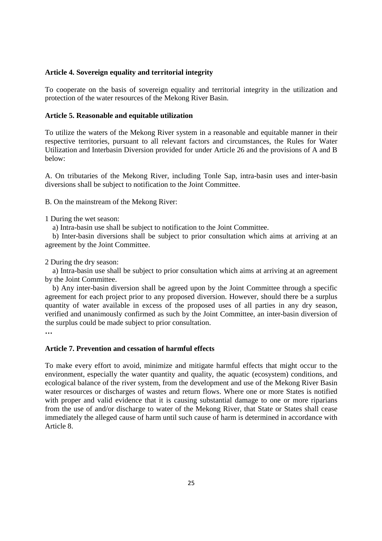#### **Article 4. Sovereign equality and territorial integrity**

To cooperate on the basis of sovereign equality and territorial integrity in the utilization and protection of the water resources of the Mekong River Basin.

#### **Article 5. Reasonable and equitable utilization**

To utilize the waters of the Mekong River system in a reasonable and equitable manner in their respective territories, pursuant to all relevant factors and circumstances, the Rules for Water Utilization and Interbasin Diversion provided for under Article 26 and the provisions of A and B below:

A. On tributaries of the Mekong River, including Tonle Sap, intra-basin uses and inter-basin diversions shall be subject to notification to the Joint Committee.

B. On the mainstream of the Mekong River:

1 During the wet season:

a) Intra-basin use shall be subject to notification to the Joint Committee.

 b) Inter-basin diversions shall be subject to prior consultation which aims at arriving at an agreement by the Joint Committee.

2 During the dry season:

 a) Intra-basin use shall be subject to prior consultation which aims at arriving at an agreement by the Joint Committee.

 b) Any inter-basin diversion shall be agreed upon by the Joint Committee through a specific agreement for each project prior to any proposed diversion. However, should there be a surplus quantity of water available in excess of the proposed uses of all parties in any dry season, verified and unanimously confirmed as such by the Joint Committee, an inter-basin diversion of the surplus could be made subject to prior consultation.

**…** 

### **Article 7. Prevention and cessation of harmful effects**

To make every effort to avoid, minimize and mitigate harmful effects that might occur to the environment, especially the water quantity and quality, the aquatic (ecosystem) conditions, and ecological balance of the river system, from the development and use of the Mekong River Basin water resources or discharges of wastes and return flows. Where one or more States is notified with proper and valid evidence that it is causing substantial damage to one or more riparians from the use of and/or discharge to water of the Mekong River, that State or States shall cease immediately the alleged cause of harm until such cause of harm is determined in accordance with Article 8.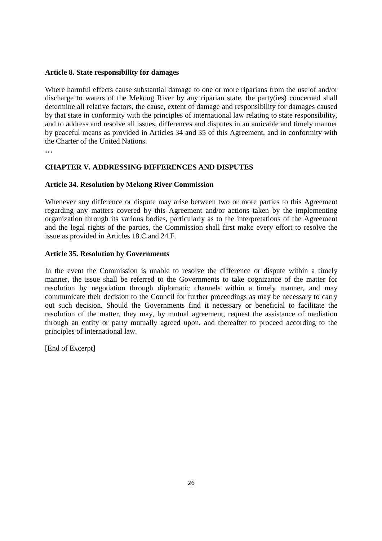#### **Article 8. State responsibility for damages**

Where harmful effects cause substantial damage to one or more riparians from the use of and/or discharge to waters of the Mekong River by any riparian state, the party(ies) concerned shall determine all relative factors, the cause, extent of damage and responsibility for damages caused by that state in conformity with the principles of international law relating to state responsibility, and to address and resolve all issues, differences and disputes in an amicable and timely manner by peaceful means as provided in Articles 34 and 35 of this Agreement, and in conformity with the Charter of the United Nations.

**…**

#### **CHAPTER V. ADDRESSING DIFFERENCES AND DISPUTES**

#### **Article 34. Resolution by Mekong River Commission**

Whenever any difference or dispute may arise between two or more parties to this Agreement regarding any matters covered by this Agreement and/or actions taken by the implementing organization through its various bodies, particularly as to the interpretations of the Agreement and the legal rights of the parties, the Commission shall first make every effort to resolve the issue as provided in Articles 18.C and 24.F.

#### **Article 35. Resolution by Governments**

In the event the Commission is unable to resolve the difference or dispute within a timely manner, the issue shall be referred to the Governments to take cognizance of the matter for resolution by negotiation through diplomatic channels within a timely manner, and may communicate their decision to the Council for further proceedings as may be necessary to carry out such decision. Should the Governments find it necessary or beneficial to facilitate the resolution of the matter, they may, by mutual agreement, request the assistance of mediation through an entity or party mutually agreed upon, and thereafter to proceed according to the principles of international law.

[End of Excerpt]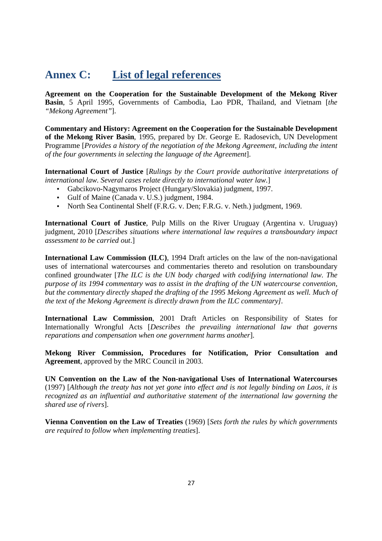### **Annex C: List of legal references**

**Agreement on the Cooperation for the Sustainable Development of the Mekong River Basin**, 5 April 1995, Governments of Cambodia, Lao PDR, Thailand, and Vietnam [*the "Mekong Agreement"*].

**Commentary and History: Agreement on the Cooperation for the Sustainable Development of the Mekong River Basin**, 1995, prepared by Dr. George E. Radosevich, UN Development Programme [*Provides a history of the negotiation of the Mekong Agreement, including the intent of the four governments in selecting the language of the Agreement*].

**International Court of Justice** [*Rulings by the Court provide authoritative interpretations of international law. Several cases relate directly to international water law*.]

- Gabcikovo-Nagymaros Project (Hungary/Slovakia) judgment, 1997.
- Gulf of Maine (Canada v. U.S.) judgment, 1984.
- North Sea Continental Shelf (F.R.G. v. Den; F.R.G. v. Neth.) judgment, 1969.

**International Court of Justice**, Pulp Mills on the River Uruguay (Argentina v. Uruguay) judgment, 2010 [*Describes situations where international law requires a transboundary impact assessment to be carried out*.]

**International Law Commission (ILC)**, 1994 Draft articles on the law of the non-navigational uses of international watercourses and commentaries thereto and resolution on transboundary confined groundwater [*The ILC is the UN body charged with codifying international law. The purpose of its 1994 commentary was to assist in the drafting of the UN watercourse convention, but the commentary directly shaped the drafting of the 1995 Mekong Agreement as well. Much of the text of the Mekong Agreement is directly drawn from the ILC commentary].* 

**International Law Commission**, 2001 Draft Articles on Responsibility of States for Internationally Wrongful Acts [*Describes the prevailing international law that governs reparations and compensation when one government harms another*].

**Mekong River Commission, Procedures for Notification, Prior Consultation and Agreement**, approved by the MRC Council in 2003.

**UN Convention on the Law of the Non-navigational Uses of International Watercourses** (1997) [*Although the treaty has not yet gone into effect and is not legally binding on Laos, it is recognized as an influential and authoritative statement of the international law governing the shared use of rivers*].

**Vienna Convention on the Law of Treaties** (1969) [*Sets forth the rules by which governments are required to follow when implementing treaties*].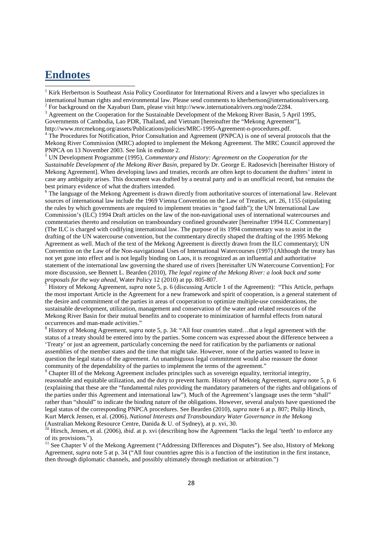### **Endnotes** -<br>-

<sup>1</sup> Kirk Herbertson is Southeast Asia Policy Coordinator for International Rivers and a lawyer who specializes in international human rights and environmental law. Please send comments to kherbertson@internationalrivers.org. <sup>2</sup> For background on the Xayaburi Dam, please visit http://www.internationalrivers.org/node/2284.

<sup>3</sup> Agreement on the Cooperation for the Sustainable Development of the Mekong River Basin, 5 April 1995, Governments of Cambodia, Lao PDR, Thailand, and Vietnam [hereinafter the "Mekong Agreement"], http://www.mrcmekong.org/assets/Publications/policies/MRC-1995-Agreement-n-procedures.pdf.

<sup>4</sup> The Procedures for Notification, Prior Consultation and Agreement (PNPCA) is one of several protocols that the Mekong River Commission (MRC) adopted to implement the Mekong Agreement. The MRC Council approved the PNPCA on 13 November 2003. See link in endnote 2.

5 UN Development Programme (1995), *Commentary and History: Agreement on the Cooperation for the Sustainable Development of the Mekong River Basin*, prepared by Dr. George E. Radosevich [hereinafter History of Mekong Agreement]. When developing laws and treaties, records are often kept to document the drafters' intent in case any ambiguity arises. This document was drafted by a neutral party and is an unofficial record, but remains the best primary evidence of what the drafters intended.

<sup>6</sup> The language of the Mekong Agreement is drawn directly from authoritative sources of international law. Relevant sources of international law include the 1969 Vienna Convention on the Law of Treaties, art. 26, 1155 (stipulating the rules by which governments are required to implement treaties in "good faith"); the UN International Law Commission's (ILC) 1994 Draft articles on the law of the non-navigational uses of international watercourses and commentaries thereto and resolution on transboundary confined groundwater [hereinafter 1994 ILC Commentary] (The ILC is charged with codifying international law. The purpose of its 1994 commentary was to assist in the drafting of the UN watercourse convention, but the commentary directly shaped the drafting of the 1995 Mekong Agreement as well. Much of the text of the Mekong Agreement is directly drawn from the ILC commentary); UN Convention on the Law of the Non-navigational Uses of International Watercourses (1997) (Although the treaty has not yet gone into effect and is not legally binding on Laos, it is recognized as an influential and authoritative statement of the international law governing the shared use of rivers [hereinafter UN Watercourse Convention]; For more discussion, see Bennett L. Bearden (2010), *The legal regime of the Mekong River: a look back and some proposals for the way ahead*, Water Policy 12 (2010) at pp. 805-807. 7 History of Mekong Agreement, *supra* note 5, p. 6 (discussing Article 1 of the Agreement): "This Article, perhaps

the most important Article in the Agreement for a new framework and spirit of cooperation, is a general statement of the desire and commitment of the parties in areas of cooperation to optimize multiple-use considerations, the sustainable development, utilization, management and conservation of the water and related resources of the Mekong River Basin for their mutual benefits and to cooperate to minimization of harmful effects from natural occurrences and man-made activities."

<sup>8</sup> History of Mekong Agreement, *supra* note 5, p. 34: "All four countries stated...that a legal agreement with the status of a treaty should be entered into by the parties. Some concern was expressed about the difference between a 'Treaty' or just an agreement, particularly concerning the need for ratification by the parliaments or national assemblies of the member states and the time that might take. However, none of the parties wanted to leave in question the legal status of the agreement. An unambiguous legal commitment would also reassure the donor community of the dependability of the parties to implement the terms of the agreement." 9 Chapter III of the Mekong Agreement includes principles such as sovereign equality, territorial integrity,

reasonable and equitable utilization, and the duty to prevent harm. History of Mekong Agreement, *supra* note 5, p. 6 (explaining that these are the "fundamental rules providing the mandatory parameters of the rights and obligations of the parties under this Agreement and international law"). Much of the Agreement's language uses the term "shall" rather than "should" to indicate the binding nature of the obligations. However, several analysts have questioned the legal status of the corresponding PNPCA procedures. See Bearden (2010), *supra* note 6 at p. 807; Philip Hirsch, Kurt Mørck Jensen, et al. (2006), *National Interests and Transboundary Water Governance in the Mekong* (Australian Mekong Resource Centre, Danida & U. of Sydney), at p. xvi, 30.

<sup>10</sup> Hirsch, Jensen, et al. (2006), *ibid*. at p. xvi (describing how the Agreement "lacks the legal 'teeth' to enforce any of its provisions.").

<sup>11</sup> See Chapter V of the Mekong Agreement ("Addressing Differences and Disputes"). See also, History of Mekong Agreement, *supra* note 5 at p. 34 ("All four countries agree this is a function of the institution in the first instance, then through diplomatic channels, and possibly ultimately through mediation or arbitration.")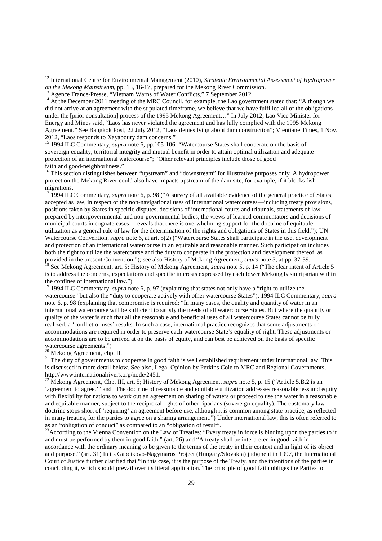<sup>12</sup> International Centre for Environmental Management (2010), *Strategic Environmental Assessment of Hydropower on the Mekong Mainstream*, pp. 13, 16-17, prepared for the Mekong River Commission.

<sup>14</sup> At the December 2011 meeting of the MRC Council, for example, the Lao government stated that: "Although we did not arrive at an agreement with the stipulated timeframe, we believe that we have fulfilled all of the obligations under the [prior consultation] process of the 1995 Mekong Agreement..." In July 2012, Lao Vice Minister for Energy and Mines said, "Laos has never violated the agreement and has fully complied with the 1995 Mekong Agreement." See Bangkok Post, 22 July 2012, "Laos denies lying about dam construction"; Vientiane Times, 1 Nov. 2012, "Laos responds to Xayaboury dam concerns."

<sup>15</sup> 1994 ILC Commentary, *supra* note 6, pp.105-106: "Watercourse States shall cooperate on the basis of sovereign equality, territorial integrity and mutual benefit in order to attain optimal utilization and adequate protection of an international watercourse"; "Other relevant principles include those of good faith and good-neighborliness."

<sup>16</sup> This section distinguishes between "upstream" and "downstream" for illustrative purposes only. A hydropower project on the Mekong River could also have impacts upstream of the dam site, for example, if it blocks fish migrations.

<sup>17</sup> 1994 ILC Commentary, *supra* note 6, p. 98 ("A survey of all available evidence of the general practice of States, accepted as law, in respect of the non-navigational uses of international watercourses—including treaty provisions, positions taken by States in specific disputes, decisions of international courts and tribunals, statements of law prepared by intergovernmental and non-governmental bodies, the views of learned commentators and decisions of municipal courts in cognate cases—reveals that there is overwhelming support for the doctrine of equitable utilization as a general rule of law for the determination of the rights and obligations of States in this field."); UN Watercourse Convention, *supra* note 6, at art. 5(2) ("Watercourse States shall participate in the use, development and protection of an international watercourse in an equitable and reasonable manner. Such participation includes both the right to utilize the watercourse and the duty to cooperate in the protection and development thereof, as provided in the present Convention."); see also History of Mekong Agreement, *supra* note 5, at pp. 37-39.

<sup>18</sup> See Mekong Agreement, art. 5; History of Mekong Agreement, *supra* note 5, p. 14 ("The clear intent of Article 5 is to address the concerns, expectations and specific interests expressed by each lower Mekong basin riparian within the confines of international law.")

<sup>19</sup> 1994 ILC Commentary, *supra* note 6, p. 97 (explaining that states not only have a "right to utilize the watercourse" but also the "duty to cooperate actively with other watercourse States"); 1994 ILC Commentary, *supra* note 6, p. 98 (explaining that compromise is required: "In many cases, the quality and quantity of water in an international watercourse will be sufficient to satisfy the needs of all watercourse States. But where the quantity or quality of the water is such that all the reasonable and beneficial uses of all watercourse States cannot be fully realized, a 'conflict of uses' results. In such a case, international practice recognizes that some adjustments or accommodations are required in order to preserve each watercourse State's equality of right. These adjustments or accommodations are to be arrived at on the basis of equity, and can best be achieved on the basis of specific watercourse agreements.")

<sup>20</sup> Mekong Agreement, chp. II.

 $\overline{a}$ 

<sup>21</sup> The duty of governments to cooperate in good faith is well established requirement under international law. This is discussed in more detail below. See also, Legal Opinion by Perkins Coie to MRC and Regional Governments, http://www.internationalrivers.org/node/2451.

<sup>22</sup> Mekong Agreement, Chp. III, art. 5; History of Mekong Agreement, *supra* note 5, p. 15 ("Article 5.B.2 is an 'agreement to agree.'" and "The doctrine of reasonable and equitable utilization addresses reasonableness and equity with flexibility for nations to work out an agreement on sharing of waters or proceed to use the water in a reasonable and equitable manner, subject to the reciprocal rights of other riparians (sovereign equality). The customary law doctrine stops short of 'requiring' an agreement before use, although it is common among state practice, as reflected in many treaties, for the parties to agree on a sharing arrangement.") Under international law, this is often referred to as an "obligation of conduct" as compared to an "obligation of result".

<sup>23</sup>According to the Vienna Convention on the Law of Treaties: "Every treaty in force is binding upon the parties to it and must be performed by them in good faith." (art. 26) and "A treaty shall be interpreted in good faith in accordance with the ordinary meaning to be given to the terms of the treaty in their context and in light of its object and purpose." (art. 31) In its Gabcikovo-Nagymaros Project (Hungary/Slovakia) judgment in 1997, the International Court of Justice further clarified that "In this case, it is the purpose of the Treaty, and the intentions of the parties in concluding it, which should prevail over its literal application. The principle of good faith obliges the Parties to

<sup>&</sup>lt;sup>13</sup> Agence France-Presse, "Vietnam Warns of Water Conflicts," 7 September 2012.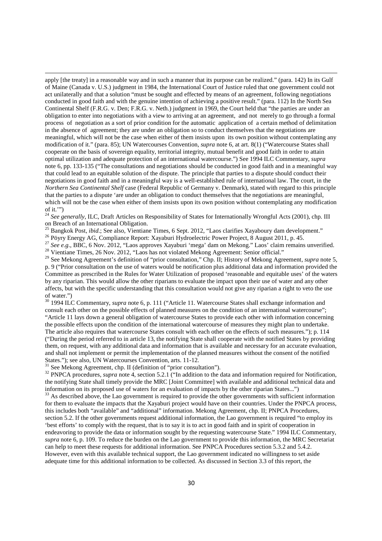apply [the treaty] in a reasonable way and in such a manner that its purpose can be realized." (para. 142) In its Gulf of Maine (Canada v. U.S.) judgment in 1984, the International Court of Justice ruled that one government could not act unilaterally and that a solution "must be sought and effected by means of an agreement, following negotiations conducted in good faith and with the genuine intention of achieving a positive result." (para. 112) In the North Sea Continental Shelf (F.R.G. v. Den; F.R.G. v. Neth.) judgment in 1969, the Court held that "the parties are under an obligation to enter into negotiations with a view to arriving at an agreement, and not merely to go through a formal process of negotiation as a sort of prior condition for the automatic application of a certain method of delimitation in the absence of agreement; they are under an obligation so to conduct themselves that the negotiations are meaningful, which will not be the case when either of them insists upon its own position without contemplating any modification of it." (para. 85); UN Watercourses Convention, *supra* note 6, at art. 8(1) ("Watercourse States shall cooperate on the basis of sovereign equality, territorial integrity, mutual benefit and good faith in order to attain optimal utilization and adequate protection of an international watercourse.") See 1994 ILC Commentary, *supra* note 6, pp. 133-135 ("The consultations and negotiations should be conducted in good faith and in a meaningful way that could lead to an equitable solution of the dispute. The principle that parties to a dispute should conduct their negotiations in good faith and in a meaningful way is a well-established rule of international law. The court, in the *Northern Sea Continental Shelf* case (Federal Republic of Germany v. Denmark), stated with regard to this principle that the parties to a dispute 'are under an obligation to conduct themselves that the negotiations are meaningful, which will not be the case when either of them insists upon its own position without contemplating any modification of it.'")

<sup>24</sup> See generally, ILC, Draft Articles on Responsibility of States for Internationally Wrongful Acts (2001), chp. III on Breach of an International Obligation.

<sup>25</sup> Bangkok Post, *ibid*.; See also, Vientiane Times, 6 Sept. 2012, "Laos clarifies Xayaboury dam development."

<sup>26</sup> Pöyry Energy AG, Compliance Report: Xayaburi Hydroelectric Power Project, 8 August 2011, p. 45.

<sup>27</sup> See e.g., BBC, 6 Nov. 2012, "Laos approves Xayaburi 'mega' dam on Mekong." Laos' claim remains unverified. <sup>28</sup> Vientiane Times, 26 Nov. 2012, "Laos has not violated Mekong Agreement: Senior official."

<sup>29</sup> See Mekong Agreement's definition of "prior consultation," Chp. II; History of Mekong Agreement, *supra* note 5, p. 9 ("Prior consultation on the use of waters would be notification plus additional data and information provided the Committee as prescribed in the Rules for Water Utilization of proposed 'reasonable and equitable uses' of the waters by any riparian. This would allow the other riparians to evaluate the impact upon their use of water and any other affects, but with the specific understanding that this consultation would not give any riparian a right to veto the use of water.")

<sup>30</sup> 1994 ILC Commentary, *supra* note 6, p. 111 ("Article 11. Watercourse States shall exchange information and consult each other on the possible effects of planned measures on the condition of an international watercourse"; "Article 11 lays down a general obligation of watercourse States to provide each other with information concerning the possible effects upon the condition of the international watercourse of measures they might plan to undertake. The article also requires that watercourse States consult with each other on the effects of such measures."); p. 114 ("During the period referred to in article 13, the notifying State shall cooperate with the notified States by providing them, on request, with any additional data and information that is available and necessary for an accurate evaluation, and shall not implement or permit the implementation of the planned measures without the consent of the notified States."); see also, UN Watercourses Convention, arts. 11-12.

<sup>31</sup> See Mekong Agreement, chp. II (definition of "prior consultation").

 $\overline{a}$ 

<sup>32</sup> PNPCA procedures, *supra* note 4, section 5.2.1 ("In addition to the data and information required for Notification, the notifying State shall timely provide the MRC [Joint Committee] with available and additional technical data and information on its proposed use of waters for an evaluation of impacts by the other riparian States...")

<sup>33</sup> As described above, the Lao government is required to provide the other governments with sufficient information for them to evaluate the impacts that the Xayaburi project would have on their countries. Under the PNPCA process, this includes both "available" and "additional" information. Mekong Agreement, chp. II; PNPCA Procedures, section 5.2. If the other governments request additional information, the Lao government is required "to employ its 'best efforts' to comply with the request, that is to say it is to act in good faith and in spirit of cooperation in endeavoring to provide the data or information sought by the requesting watercourse State." 1994 ILC Commentary, *supra* note 6, p. 109. To reduce the burden on the Lao government to provide this information, the MRC Secretariat can help to meet these requests for additional information. See PNPCA Procedures section 5.3.2 and 5.4.2. However, even with this available technical support, the Lao government indicated no willingness to set aside adequate time for this additional information to be collected. As discussed in Section 3.3 of this report, the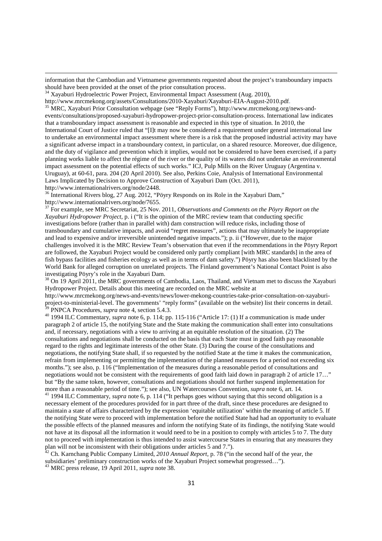information that the Cambodian and Vietnamese governments requested about the project's transboundary impacts should have been provided at the onset of the prior consultation process.

 $34$  Xayaburi Hydroelectric Power Project, Environmental Impact Assessment (Aug. 2010),

http://www.mrcmekong.org/assets/Consultations/2010-Xayaburi/Xayaburi-EIA-August-2010.pdf.

<sup>35</sup> MRC, Xayaburi Prior Consultation webpage (see "Reply Forms"), http://www.mrcmekong.org/news-andevents/consultations/proposed-xayaburi-hydropower-project-prior-consultation-process. International law indicates that a transboundary impact assessment is reasonable and expected in this type of situation. In 2010, the International Court of Justice ruled that "[I]t may now be considered a requirement under general international law to undertake an environmental impact assessment where there is a risk that the proposed industrial activity may have a significant adverse impact in a transboundary context, in particular, on a shared resource. Moreover, due diligence, and the duty of vigilance and prevention which it implies, would not be considered to have been exercised, if a party planning works liable to affect the régime of the river or the quality of its waters did not undertake an environmental impact assessment on the potential effects of such works." ICJ, Pulp Mills on the River Uruguay (Argentina v. Uruguay), at 60-61, para. 204 (20 April 2010). See also, Perkins Coie, Analysis of International Environmental Laws Implicated by Decision to Approve Construction of Xayaburi Dam (Oct. 2011),

http://www.internationalrivers.org/node/2448.

 $\overline{a}$ 

<sup>36</sup> International Rivers blog, 27 Aug. 2012, "Pöyry Responds on its Role in the Xayaburi Dam," http://www.internationalrivers.org/node/7655.

<sup>37</sup> For example, see MRC Secretariat, 25 Nov. 2011, *Observations and Comments on the Pöyry Report on the Xayaburi Hydropower Project*, p. i ("It is the opinion of the MRC review team that conducting specific investigations before (rather than in parallel with) dam construction will reduce risks, including those of transboundary and cumulative impacts, and avoid "regret measures", actions that may ultimately be inappropriate and lead to expensive and/or irreversible unintended negative impacts."); p. ii ("However, due to the major challenges involved it is the MRC Review Team's observation that even if the recommendations in the Pöyry Report are followed, the Xayaburi Project would be considered only partly compliant [with MRC standards] in the area of fish bypass facilities and fisheries ecology as well as in terms of dam safety.") Pöyry has also been blacklisted by the World Bank for alleged corruption on unrelated projects. The Finland government's National Contact Point is also investigating Pöyry's role in the Xayaburi Dam.

<sup>38</sup> On 19 April 2011, the MRC governments of Cambodia, Laos, Thailand, and Vietnam met to discuss the Xayaburi Hydropower Project. Details about this meeting are recorded on the MRC website at

http://www.mrcmekong.org/news-and-events/news/lower-mekong-countries-take-prior-consultation-on-xayaburiproject-to-ministerial-level. The governments' "reply forms" (available on the website) list their concerns in detail. <sup>39</sup> PNPCA Procedures, *supra* note 4, section 5.4.3.

<sup>40</sup> 1994 ILC Commentary, *supra* note 6, p. 114; pp. 115-116 ("Article 17: (1) If a communication is made under paragraph 2 of article 15, the notifying State and the State making the communication shall enter into consultations and, if necessary, negotiations with a view to arriving at an equitable resolution of the situation. (2) The consultations and negotiations shall be conducted on the basis that each State must in good faith pay reasonable regard to the rights and legitimate interests of the other State. (3) During the course of the consultations and negotiations, the notifying State shall, if so requested by the notified State at the time it makes the communication, refrain from implementing or permitting the implementation of the planned measures for a period not exceeding six months."); see also, p. 116 ("Implementation of the measures during a reasonable period of consultations and negotiations would not be consistent with the requirements of good faith laid down in paragraph 2 of article 17…" but "By the same token, however, consultations and negotiations should not further suspend implementation for more than a reasonable period of time."); see also, UN Watercourses Convention, *supra* note 6, art. 14.

<sup>41</sup> 1994 ILC Commentary, *supra* note 6, p. 114 ("It perhaps goes without saying that this second obligation is a necessary element of the procedures provided for in part three of the draft, since these procedures are designed to maintain a state of affairs characterized by the expression 'equitable utilization' within the meaning of article 5. If the notifying State were to proceed with implementation before the notified State had had an opportunity to evaluate the possible effects of the planned measures and inform the notifying State of its findings, the notifying State would not have at its disposal all the information it would need to be in a position to comply with articles 5 to 7. The duty not to proceed with implementation is thus intended to assist watercourse States in ensuring that any measures they plan will not be inconsistent with their obligations under articles 5 and 7.").

<sup>42</sup> Ch. Karnchang Public Company Limited, 2010 Annual Report, p. 78 ("in the second half of the year, the subsidiaries' preliminary construction works of the Xayaburi Project somewhat progressed…").

<sup>43</sup> MRC press release, 19 April 2011, *supra* note 38.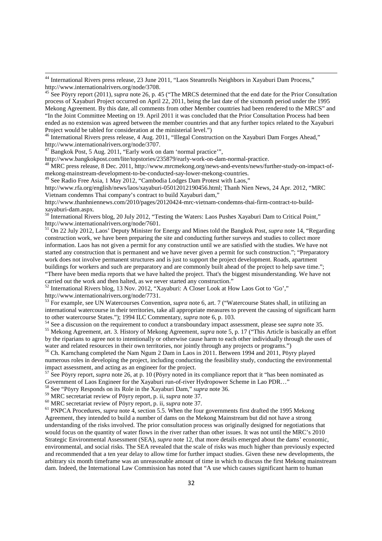<sup>46</sup> International Rivers press release, 4 Aug. 2011, "Illegal Construction on the Xayaburi Dam Forges Ahead," http://www.internationalrivers.org/node/3707.

 $47$  Bangkok Post, 5 Aug. 2011, "Early work on dam 'normal practice",

 $\overline{a}$ 

http://www.bangkokpost.com/lite/topstories/235879/early-work-on-dam-normal-practice.

48 MRC press release, 8 Dec. 2011, http://www.mrcmekong.org/news-and-events/news/further-study-on-impact-ofmekong-mainstream-development-to-be-conducted-say-lower-mekong-countries.

<sup>49</sup> See Radio Free Asia, 1 May 2012, "Cambodia Lodges Dam Protest with Laos,"

http://www.rfa.org/english/news/laos/xayaburi-05012012190456.html; Thanh Nien News, 24 Apr. 2012, "MRC Vietnam condemns Thai company's contract to build Xayaburi dam,"

http://www.thanhniennews.com/2010/pages/20120424-mrc-vietnam-condemns-thai-firm-contract-to-buildxayaburi-dam.aspx.

<sup>50</sup> International Rivers blog, 20 July 2012, "Testing the Waters: Laos Pushes Xayaburi Dam to Critical Point," http://www.internationalrivers.org/node/7601.

<sup>51</sup> On 22 July 2012, Laos' Deputy Minister for Energy and Mines told the Bangkok Post, *supra* note 14, "Regarding construction work, we have been preparing the site and conducting further surveys and studies to collect more information. Laos has not given a permit for any construction until we are satisfied with the studies. We have not started any construction that is permanent and we have never given a permit for such construction."; "Preparatory work does not involve permanent structures and is just to support the project development. Roads, apartment buildings for workers and such are preparatory and are commonly built ahead of the project to help save time."; "There have been media reports that we have halted the project. That's the biggest misunderstanding. We have not carried out the work and then halted, as we never started any construction."

 $52$  International Rivers blog, 13 Nov. 2012, "Xayaburi: A Closer Look at How Laos Got to 'Go'," http://www.internationalrivers.org/node/7731.

<sup>53</sup> For example, see UN Watercourses Convention, *supra* note 6, art. 7 ("Watercourse States shall, in utilizing an international watercourse in their territories, take all appropriate measures to prevent the causing of significant harm to other watercourse States."); 1994 ILC Commentary, *supra* note 6, p. 103.

<sup>54</sup> See a discussion on the requirement to conduct a transboundary impact assessment, please see *supra* note 35.

<sup>55</sup> Mekong Agreement, art. 3. History of Mekong Agreement, *supra* note 5, p. 17 ("This Article is basically an effort by the riparians to agree not to intentionally or otherwise cause harm to each other individually through the uses of water and related resources in their own territories, nor jointly through any projects or programs.")

<sup>56</sup> Ch. Karnchang completed the Nam Ngum 2 Dam in Laos in 2011. Between 1994 and 2011, Pöyry played numerous roles in developing the project, including conducting the feasibility study, conducting the environmental impact assessment, and acting as an engineer for the project.

<sup>57</sup> See Pöyry report, *supra* note 26, at p. 10 (Pöyry noted in its compliance report that it "has been nominated as Government of Laos Engineer for the Xayaburi run-of-river Hydropower Scheme in Lao PDR…"

<sup>58</sup> See "Pöyry Responds on its Role in the Xayaburi Dam," *supra* note 36.

<sup>59</sup> MRC secretariat review of Pöyry report, p. ii, *supra* note 37.

<sup>60</sup> MRC secretariat review of Pöyry report, p. ii, *supra* note 37.

<sup>61</sup> PNPCA Procedures, *supra* note 4, section 5.5. When the four governments first drafted the 1995 Mekong Agreement, they intended to build a number of dams on the Mekong Mainstream but did not have a strong understanding of the risks involved. The prior consultation process was originally designed for negotiations that would focus on the quantity of water flows in the river rather than other issues. It was not until the MRC's 2010 Strategic Environmental Assessment (SEA), *supra* note 12, that more details emerged about the dams' economic, environmental, and social risks. The SEA revealed that the scale of risks was much higher than previously expected and recommended that a ten year delay to allow time for further impact studies. Given these new developments, the arbitrary six month timeframe was an unreasonable amount of time in which to discuss the first Mekong mainstream dam. Indeed, the International Law Commission has noted that "A use which causes significant harm to human

<sup>44</sup> International Rivers press release, 23 June 2011, "Laos Steamrolls Neighbors in Xayaburi Dam Process," http://www.internationalrivers.org/node/3708.

<sup>45</sup> See Pöyry report (2011), *supra* note 26, p. 45 ("The MRCS determined that the end date for the Prior Consultation process of Xayaburi Project occurred on April 22, 2011, being the last date of the sixmonth period under the 1995 Mekong Agreement. By this date, all comments from other Member countries had been rendered to the MRCS" and "In the Joint Committee Meeting on 19. April 2011 it was concluded that the Prior Consultation Process had been ended as no extension was agreed between the member countries and that any further topics related to the Xayaburi Project would be tabled for consideration at the ministerial level.")